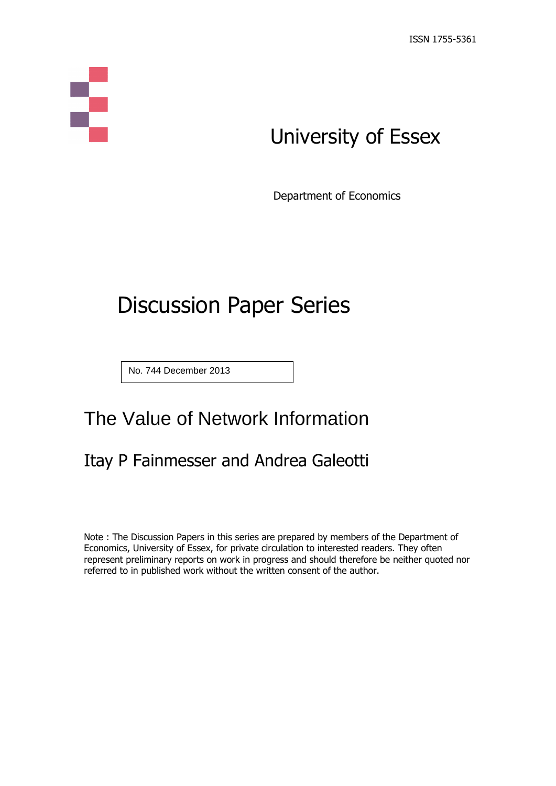# Ş

## University of Essex

Department of Economics

# Discussion Paper Series

No. 744 December 2013

## The Value of Network Information

## Itay P Fainmesser and Andrea Galeotti

Note : The Discussion Papers in this series are prepared by members of the Department of Economics, University of Essex, for private circulation to interested readers. They often represent preliminary reports on work in progress and should therefore be neither quoted nor referred to in published work without the written consent of the author.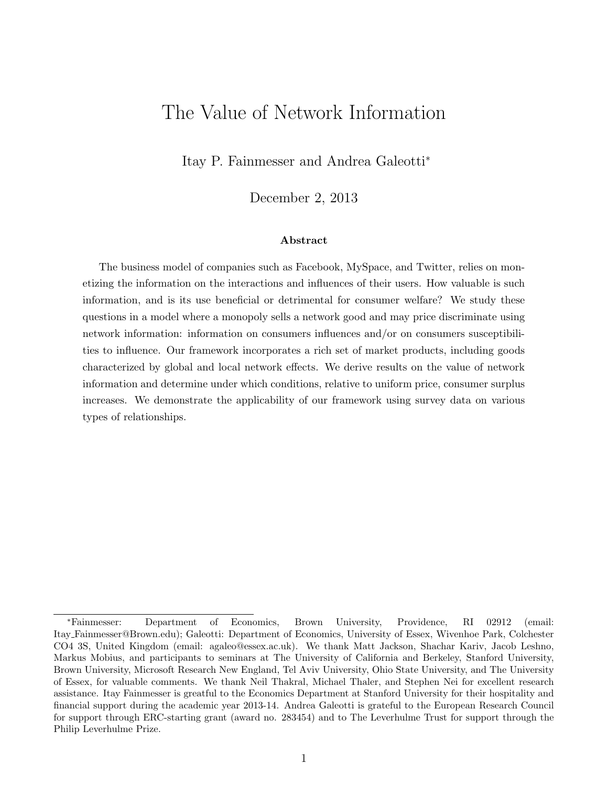### The Value of Network Information

Itay P. Fainmesser and Andrea Galeotti<sup>∗</sup>

December 2, 2013

#### Abstract

The business model of companies such as Facebook, MySpace, and Twitter, relies on monetizing the information on the interactions and influences of their users. How valuable is such information, and is its use beneficial or detrimental for consumer welfare? We study these questions in a model where a monopoly sells a network good and may price discriminate using network information: information on consumers influences and/or on consumers susceptibilities to influence. Our framework incorporates a rich set of market products, including goods characterized by global and local network effects. We derive results on the value of network information and determine under which conditions, relative to uniform price, consumer surplus increases. We demonstrate the applicability of our framework using survey data on various types of relationships.

<sup>∗</sup>Fainmesser: Department of Economics, Brown University, Providence, RI 02912 (email: Itay Fainmesser@Brown.edu); Galeotti: Department of Economics, University of Essex, Wivenhoe Park, Colchester CO4 3S, United Kingdom (email: agaleo@essex.ac.uk). We thank Matt Jackson, Shachar Kariv, Jacob Leshno, Markus Mobius, and participants to seminars at The University of California and Berkeley, Stanford University, Brown University, Microsoft Research New England, Tel Aviv University, Ohio State University, and The University of Essex, for valuable comments. We thank Neil Thakral, Michael Thaler, and Stephen Nei for excellent research assistance. Itay Fainmesser is greatful to the Economics Department at Stanford University for their hospitality and financial support during the academic year 2013-14. Andrea Galeotti is grateful to the European Research Council for support through ERC-starting grant (award no. 283454) and to The Leverhulme Trust for support through the Philip Leverhulme Prize.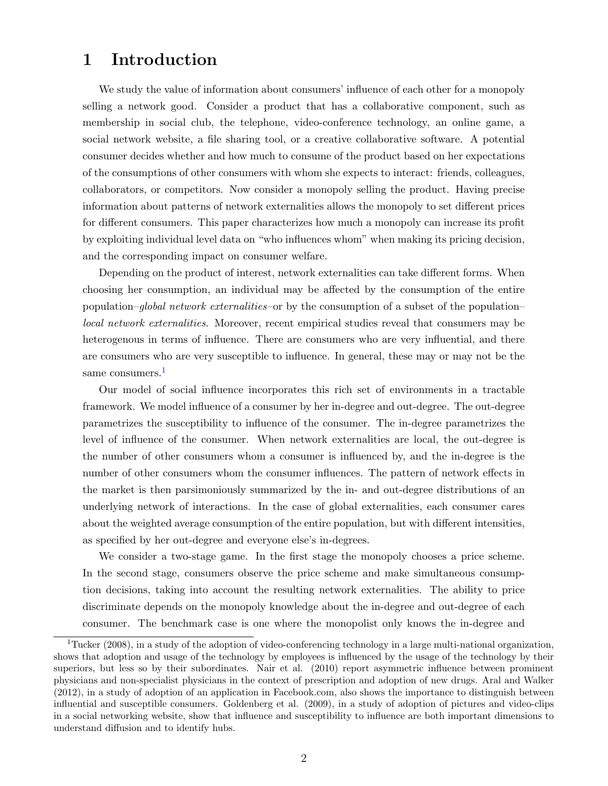#### 1 Introduction

We study the value of information about consumers' influence of each other for a monopoly selling a network good. Consider a product that has a collaborative component, such as membership in social club, the telephone, video-conference technology, an online game, a social network website, a file sharing tool, or a creative collaborative software. A potential consumer decides whether and how much to consume of the product based on her expectations of the consumptions of other consumers with whom she expects to interact: friends, colleagues, collaborators, or competitors. Now consider a monopoly selling the product. Having precise information about patterns of network externalities allows the monopoly to set different prices for different consumers. This paper characterizes how much a monopoly can increase its profit by exploiting individual level data on "who influences whom" when making its pricing decision, and the corresponding impact on consumer welfare.

Depending on the product of interest, network externalities can take different forms. When choosing her consumption, an individual may be affected by the consumption of the entire population–global network externalities–or by the consumption of a subset of the population– local network externalities. Moreover, recent empirical studies reveal that consumers may be heterogenous in terms of influence. There are consumers who are very influential, and there are consumers who are very susceptible to influence. In general, these may or may not be the same consumers. $<sup>1</sup>$  $<sup>1</sup>$  $<sup>1</sup>$ </sup>

Our model of social influence incorporates this rich set of environments in a tractable framework. We model influence of a consumer by her in-degree and out-degree. The out-degree parametrizes the susceptibility to influence of the consumer. The in-degree parametrizes the level of influence of the consumer. When network externalities are local, the out-degree is the number of other consumers whom a consumer is influenced by, and the in-degree is the number of other consumers whom the consumer influences. The pattern of network effects in the market is then parsimoniously summarized by the in- and out-degree distributions of an underlying network of interactions. In the case of global externalities, each consumer cares about the weighted average consumption of the entire population, but with different intensities, as specified by her out-degree and everyone else's in-degrees.

We consider a two-stage game. In the first stage the monopoly chooses a price scheme. In the second stage, consumers observe the price scheme and make simultaneous consumption decisions, taking into account the resulting network externalities. The ability to price discriminate depends on the monopoly knowledge about the in-degree and out-degree of each consumer. The benchmark case is one where the monopolist only knows the in-degree and

<span id="page-2-0"></span><sup>&</sup>lt;sup>1</sup>Tucker (2008), in a study of the adoption of video-conferencing technology in a large multi-national organization, shows that adoption and usage of the technology by employees is influenced by the usage of the technology by their superiors, but less so by their subordinates. Nair et al. (2010) report asymmetric influence between prominent physicians and non-specialist physicians in the context of prescription and adoption of new drugs. Aral and Walker (2012), in a study of adoption of an application in Facebook.com, also shows the importance to distinguish between influential and susceptible consumers. Goldenberg et al. (2009), in a study of adoption of pictures and video-clips in a social networking website, show that influence and susceptibility to influence are both important dimensions to understand diffusion and to identify hubs.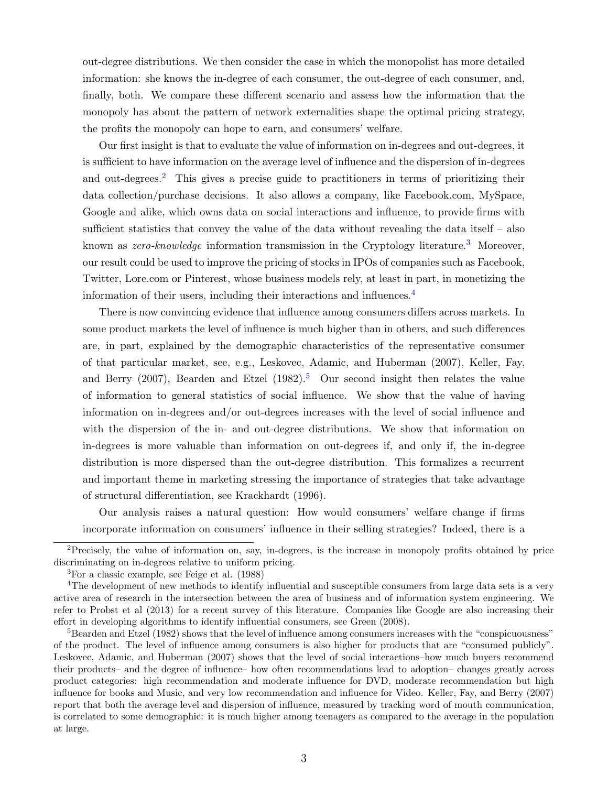out-degree distributions. We then consider the case in which the monopolist has more detailed information: she knows the in-degree of each consumer, the out-degree of each consumer, and, finally, both. We compare these different scenario and assess how the information that the monopoly has about the pattern of network externalities shape the optimal pricing strategy, the profits the monopoly can hope to earn, and consumers' welfare.

Our first insight is that to evaluate the value of information on in-degrees and out-degrees, it is sufficient to have information on the average level of influence and the dispersion of in-degrees and out-degrees.<sup>[2](#page-3-0)</sup> This gives a precise guide to practitioners in terms of prioritizing their data collection/purchase decisions. It also allows a company, like Facebook.com, MySpace, Google and alike, which owns data on social interactions and influence, to provide firms with sufficient statistics that convey the value of the data without revealing the data itself – also known as *zero-knowledge* information transmission in the Cryptology literature.<sup>[3](#page-3-1)</sup> Moreover, our result could be used to improve the pricing of stocks in IPOs of companies such as Facebook, Twitter, Lore.com or Pinterest, whose business models rely, at least in part, in monetizing the information of their users, including their interactions and influences.[4](#page-3-2)

There is now convincing evidence that influence among consumers differs across markets. In some product markets the level of influence is much higher than in others, and such differences are, in part, explained by the demographic characteristics of the representative consumer of that particular market, see, e.g., Leskovec, Adamic, and Huberman (2007), Keller, Fay, and Berry (2007), Bearden and Etzel (1982).<sup>[5](#page-3-3)</sup> Our second insight then relates the value of information to general statistics of social influence. We show that the value of having information on in-degrees and/or out-degrees increases with the level of social influence and with the dispersion of the in- and out-degree distributions. We show that information on in-degrees is more valuable than information on out-degrees if, and only if, the in-degree distribution is more dispersed than the out-degree distribution. This formalizes a recurrent and important theme in marketing stressing the importance of strategies that take advantage of structural differentiation, see Krackhardt (1996).

Our analysis raises a natural question: How would consumers' welfare change if firms incorporate information on consumers' influence in their selling strategies? Indeed, there is a

<span id="page-3-0"></span><sup>&</sup>lt;sup>2</sup>Precisely, the value of information on, say, in-degrees, is the increase in monopoly profits obtained by price discriminating on in-degrees relative to uniform pricing.

<span id="page-3-2"></span><span id="page-3-1"></span><sup>3</sup>For a classic example, see Feige et al. (1988)

<sup>&</sup>lt;sup>4</sup>The development of new methods to identify influential and susceptible consumers from large data sets is a very active area of research in the intersection between the area of business and of information system engineering. We refer to Probst et al (2013) for a recent survey of this literature. Companies like Google are also increasing their effort in developing algorithms to identify influential consumers, see Green (2008).

<span id="page-3-3"></span> $5$ Bearden and Etzel (1982) shows that the level of influence among consumers increases with the "conspicuousness" of the product. The level of influence among consumers is also higher for products that are "consumed publicly". Leskovec, Adamic, and Huberman (2007) shows that the level of social interactions–how much buyers recommend their products– and the degree of influence– how often recommendations lead to adoption– changes greatly across product categories: high recommendation and moderate influence for DVD, moderate recommendation but high influence for books and Music, and very low recommendation and influence for Video. Keller, Fay, and Berry (2007) report that both the average level and dispersion of influence, measured by tracking word of mouth communication, is correlated to some demographic: it is much higher among teenagers as compared to the average in the population at large.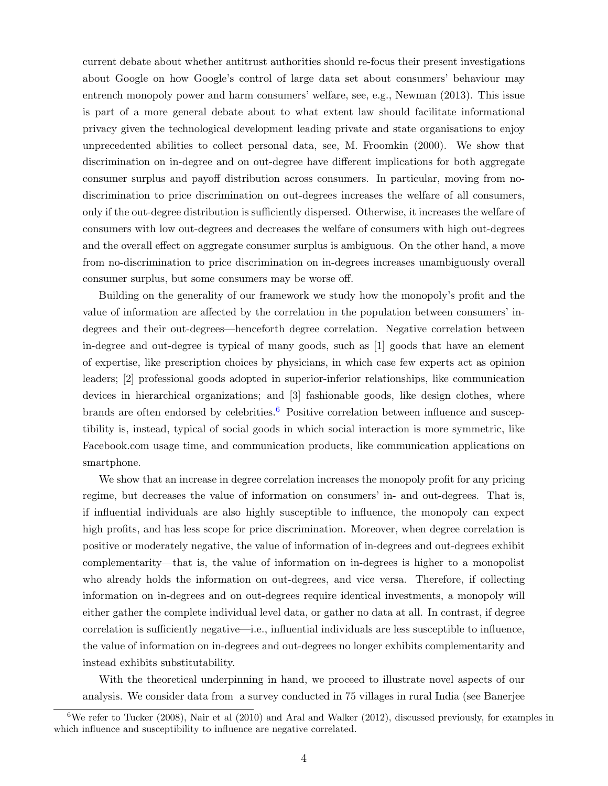current debate about whether antitrust authorities should re-focus their present investigations about Google on how Google's control of large data set about consumers' behaviour may entrench monopoly power and harm consumers' welfare, see, e.g., Newman (2013). This issue is part of a more general debate about to what extent law should facilitate informational privacy given the technological development leading private and state organisations to enjoy unprecedented abilities to collect personal data, see, M. Froomkin (2000). We show that discrimination on in-degree and on out-degree have different implications for both aggregate consumer surplus and payoff distribution across consumers. In particular, moving from nodiscrimination to price discrimination on out-degrees increases the welfare of all consumers, only if the out-degree distribution is sufficiently dispersed. Otherwise, it increases the welfare of consumers with low out-degrees and decreases the welfare of consumers with high out-degrees and the overall effect on aggregate consumer surplus is ambiguous. On the other hand, a move from no-discrimination to price discrimination on in-degrees increases unambiguously overall consumer surplus, but some consumers may be worse off.

Building on the generality of our framework we study how the monopoly's profit and the value of information are affected by the correlation in the population between consumers' indegrees and their out-degrees—henceforth degree correlation. Negative correlation between in-degree and out-degree is typical of many goods, such as [1] goods that have an element of expertise, like prescription choices by physicians, in which case few experts act as opinion leaders; [2] professional goods adopted in superior-inferior relationships, like communication devices in hierarchical organizations; and [3] fashionable goods, like design clothes, where brands are often endorsed by celebrities.<sup>[6](#page-4-0)</sup> Positive correlation between influence and susceptibility is, instead, typical of social goods in which social interaction is more symmetric, like Facebook.com usage time, and communication products, like communication applications on smartphone.

We show that an increase in degree correlation increases the monopoly profit for any pricing regime, but decreases the value of information on consumers' in- and out-degrees. That is, if influential individuals are also highly susceptible to influence, the monopoly can expect high profits, and has less scope for price discrimination. Moreover, when degree correlation is positive or moderately negative, the value of information of in-degrees and out-degrees exhibit complementarity—that is, the value of information on in-degrees is higher to a monopolist who already holds the information on out-degrees, and vice versa. Therefore, if collecting information on in-degrees and on out-degrees require identical investments, a monopoly will either gather the complete individual level data, or gather no data at all. In contrast, if degree correlation is sufficiently negative—i.e., influential individuals are less susceptible to influence, the value of information on in-degrees and out-degrees no longer exhibits complementarity and instead exhibits substitutability.

With the theoretical underpinning in hand, we proceed to illustrate novel aspects of our analysis. We consider data from a survey conducted in 75 villages in rural India (see Banerjee

<span id="page-4-0"></span> $6$ We refer to Tucker (2008), Nair et al (2010) and Aral and Walker (2012), discussed previously, for examples in which influence and susceptibility to influence are negative correlated.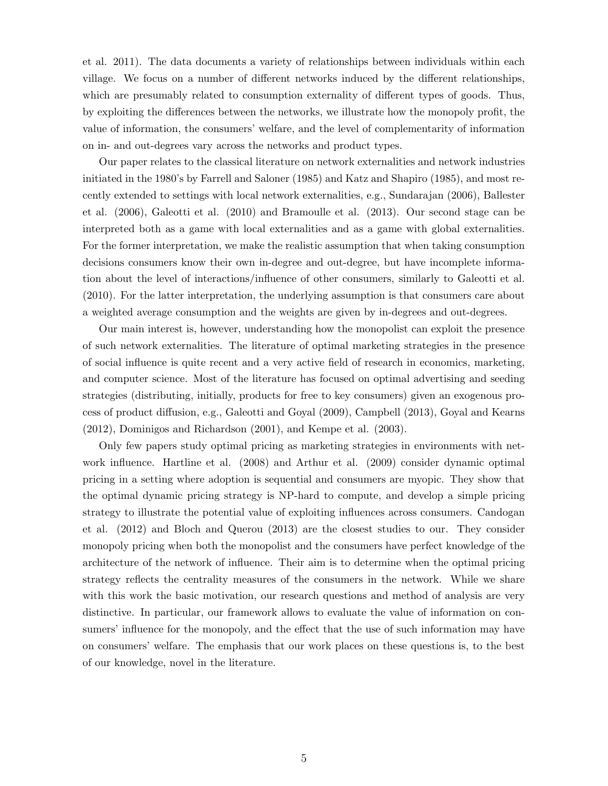et al. 2011). The data documents a variety of relationships between individuals within each village. We focus on a number of different networks induced by the different relationships, which are presumably related to consumption externality of different types of goods. Thus, by exploiting the differences between the networks, we illustrate how the monopoly profit, the value of information, the consumers' welfare, and the level of complementarity of information on in- and out-degrees vary across the networks and product types.

Our paper relates to the classical literature on network externalities and network industries initiated in the 1980's by Farrell and Saloner (1985) and Katz and Shapiro (1985), and most recently extended to settings with local network externalities, e.g., Sundarajan (2006), Ballester et al. (2006), Galeotti et al. (2010) and Bramoulle et al. (2013). Our second stage can be interpreted both as a game with local externalities and as a game with global externalities. For the former interpretation, we make the realistic assumption that when taking consumption decisions consumers know their own in-degree and out-degree, but have incomplete information about the level of interactions/influence of other consumers, similarly to Galeotti et al. (2010). For the latter interpretation, the underlying assumption is that consumers care about a weighted average consumption and the weights are given by in-degrees and out-degrees.

Our main interest is, however, understanding how the monopolist can exploit the presence of such network externalities. The literature of optimal marketing strategies in the presence of social influence is quite recent and a very active field of research in economics, marketing, and computer science. Most of the literature has focused on optimal advertising and seeding strategies (distributing, initially, products for free to key consumers) given an exogenous process of product diffusion, e.g., Galeotti and Goyal (2009), Campbell (2013), Goyal and Kearns (2012), Dominigos and Richardson (2001), and Kempe et al. (2003).

Only few papers study optimal pricing as marketing strategies in environments with network influence. Hartline et al. (2008) and Arthur et al. (2009) consider dynamic optimal pricing in a setting where adoption is sequential and consumers are myopic. They show that the optimal dynamic pricing strategy is NP-hard to compute, and develop a simple pricing strategy to illustrate the potential value of exploiting influences across consumers. Candogan et al. (2012) and Bloch and Querou (2013) are the closest studies to our. They consider monopoly pricing when both the monopolist and the consumers have perfect knowledge of the architecture of the network of influence. Their aim is to determine when the optimal pricing strategy reflects the centrality measures of the consumers in the network. While we share with this work the basic motivation, our research questions and method of analysis are very distinctive. In particular, our framework allows to evaluate the value of information on consumers' influence for the monopoly, and the effect that the use of such information may have on consumers' welfare. The emphasis that our work places on these questions is, to the best of our knowledge, novel in the literature.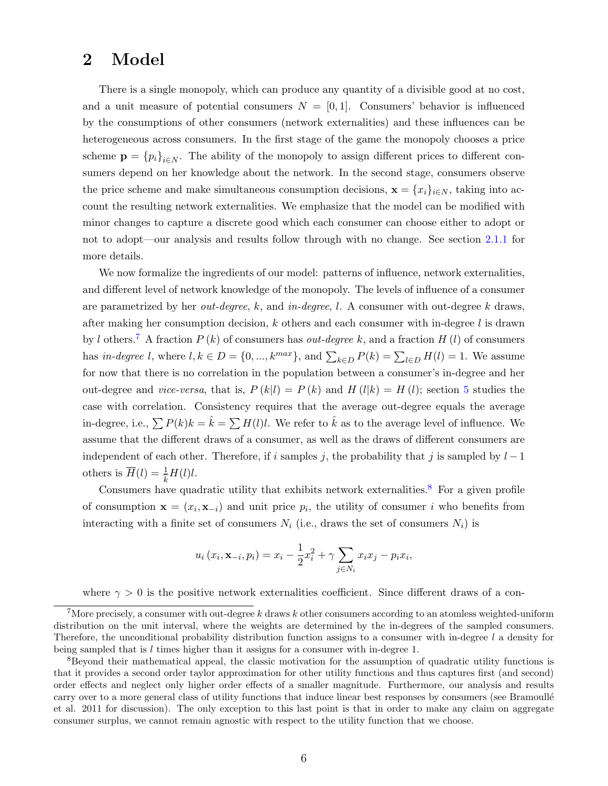#### 2 Model

There is a single monopoly, which can produce any quantity of a divisible good at no cost, and a unit measure of potential consumers  $N = [0, 1]$ . Consumers' behavior is influenced by the consumptions of other consumers (network externalities) and these influences can be heterogeneous across consumers. In the first stage of the game the monopoly chooses a price scheme  $\mathbf{p} = \{p_i\}_{i \in \mathbb{N}}$ . The ability of the monopoly to assign different prices to different consumers depend on her knowledge about the network. In the second stage, consumers observe the price scheme and make simultaneous consumption decisions,  $\mathbf{x} = \{x_i\}_{i \in \mathbb{N}}$ , taking into account the resulting network externalities. We emphasize that the model can be modified with minor changes to capture a discrete good which each consumer can choose either to adopt or not to adopt—our analysis and results follow through with no change. See section [2.1.1](#page-10-0) for more details.

We now formalize the ingredients of our model: patterns of influence, network externalities, and different level of network knowledge of the monopoly. The levels of influence of a consumer are parametrized by her *out-degree*,  $k$ , and in-degree, l. A consumer with out-degree k draws, after making her consumption decision,  $k$  others and each consumer with in-degree l is drawn by l others.<sup>[7](#page-6-0)</sup> A fraction  $P(k)$  of consumers has *out-degree* k, and a fraction  $H(l)$  of consumers has in-degree l, where  $l, k \in D = \{0, ..., k^{max}\}$ , and  $\sum_{k \in D} P(k) = \sum_{l \in D} H(l) = 1$ . We assume for now that there is no correlation in the population between a consumer's in-degree and her out-degree and *vice-versa*, that is,  $P(k|l) = P(k)$  and  $H(l|k) = H(l)$ ; section [5](#page-18-0) studies the case with correlation. Consistency requires that the average out-degree equals the average in-degree, i.e.,  $\sum P(k)k = \hat{k} = \sum H(l)l$ . We refer to  $\hat{k}$  as to the average level of influence. We assume that the different draws of a consumer, as well as the draws of different consumers are independent of each other. Therefore, if i samples j, the probability that j is sampled by  $l-1$ others is  $\overline{H}(l) = \frac{1}{2}H(l)l$ .

Consumers have quadratic utility that exhibits network externalities.<sup>[8](#page-6-1)</sup> For a given profile of consumption  $\mathbf{x} = (x_i, \mathbf{x}_{-i})$  and unit price  $p_i$ , the utility of consumer i who benefits from interacting with a finite set of consumers  $N_i$  (i.e., draws the set of consumers  $N_i$ ) is

$$
u_i(x_i, \mathbf{x}_{-i}, p_i) = x_i - \frac{1}{2}x_i^2 + \gamma \sum_{j \in N_i} x_i x_j - p_i x_i,
$$

where  $\gamma > 0$  is the positive network externalities coefficient. Since different draws of a con-

<span id="page-6-0"></span><sup>&</sup>lt;sup>7</sup>More precisely, a consumer with out-degree k draws k other consumers according to an atomless weighted-uniform distribution on the unit interval, where the weights are determined by the in-degrees of the sampled consumers. Therefore, the unconditional probability distribution function assigns to a consumer with in-degree l a density for being sampled that is  $l$  times higher than it assigns for a consumer with in-degree 1.

<span id="page-6-1"></span><sup>8</sup>Beyond their mathematical appeal, the classic motivation for the assumption of quadratic utility functions is that it provides a second order taylor approximation for other utility functions and thus captures first (and second) order effects and neglect only higher order effects of a smaller magnitude. Furthermore, our analysis and results carry over to a more general class of utility functions that induce linear best responses by consumers (see Bramoullé et al. 2011 for discussion). The only exception to this last point is that in order to make any claim on aggregate consumer surplus, we cannot remain agnostic with respect to the utility function that we choose.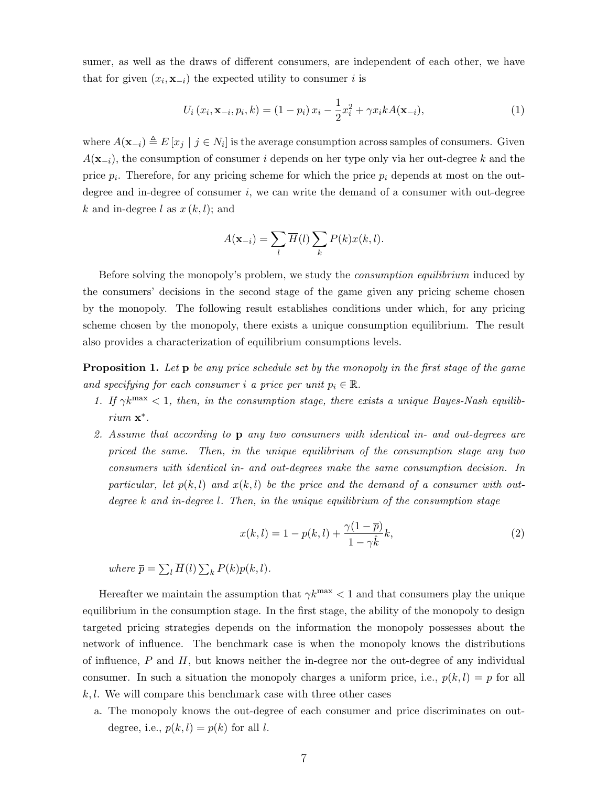sumer, as well as the draws of different consumers, are independent of each other, we have that for given  $(x_i, \mathbf{x}_{-i})$  the expected utility to consumer i is

$$
U_i(x_i, \mathbf{x}_{-i}, p_i, k) = (1 - p_i) x_i - \frac{1}{2} x_i^2 + \gamma x_i k A(\mathbf{x}_{-i}),
$$
\n(1)

where  $A(\mathbf{x}_{-i}) \triangleq E[x_j | j \in N_i]$  is the average consumption across samples of consumers. Given  $A(\mathbf{x}_{-i})$ , the consumption of consumer i depends on her type only via her out-degree k and the price  $p_i$ . Therefore, for any pricing scheme for which the price  $p_i$  depends at most on the outdegree and in-degree of consumer  $i$ , we can write the demand of a consumer with out-degree k and in-degree l as  $x(k, l)$ ; and

$$
A(\mathbf{x}_{-i}) = \sum_{l} \overline{H}(l) \sum_{k} P(k) x(k, l).
$$

Before solving the monopoly's problem, we study the *consumption equilibrium* induced by the consumers' decisions in the second stage of the game given any pricing scheme chosen by the monopoly. The following result establishes conditions under which, for any pricing scheme chosen by the monopoly, there exists a unique consumption equilibrium. The result also provides a characterization of equilibrium consumptions levels.

<span id="page-7-1"></span>**Proposition 1.** Let **p** be any price schedule set by the monopoly in the first stage of the game and specifying for each consumer i a price per unit  $p_i \in \mathbb{R}$ .

- 1. If  $\gamma k^{\max}$  < 1, then, in the consumption stage, there exists a unique Bayes-Nash equilibrium  $\mathbf{x}^*$ .
- 2. Assume that according to p any two consumers with identical in- and out-degrees are priced the same. Then, in the unique equilibrium of the consumption stage any two consumers with identical in- and out-degrees make the same consumption decision. In particular, let  $p(k, l)$  and  $x(k, l)$  be the price and the demand of a consumer with outdegree  $k$  and in-degree  $l$ . Then, in the unique equilibrium of the consumption stage

<span id="page-7-0"></span>
$$
x(k,l) = 1 - p(k,l) + \frac{\gamma(1-\overline{p})}{1-\gamma\hat{k}}k,
$$
\n<sup>(2)</sup>

where  $\overline{p} = \sum_l \overline{H}(l) \sum_k P(k)p(k,l)$ .

Hereafter we maintain the assumption that  $\gamma k^{\text{max}} < 1$  and that consumers play the unique equilibrium in the consumption stage. In the first stage, the ability of the monopoly to design targeted pricing strategies depends on the information the monopoly possesses about the network of influence. The benchmark case is when the monopoly knows the distributions of influence,  $P$  and  $H$ , but knows neither the in-degree nor the out-degree of any individual consumer. In such a situation the monopoly charges a uniform price, i.e.,  $p(k, l) = p$  for all  $k, l$ . We will compare this benchmark case with three other cases

a. The monopoly knows the out-degree of each consumer and price discriminates on outdegree, i.e.,  $p(k, l) = p(k)$  for all l.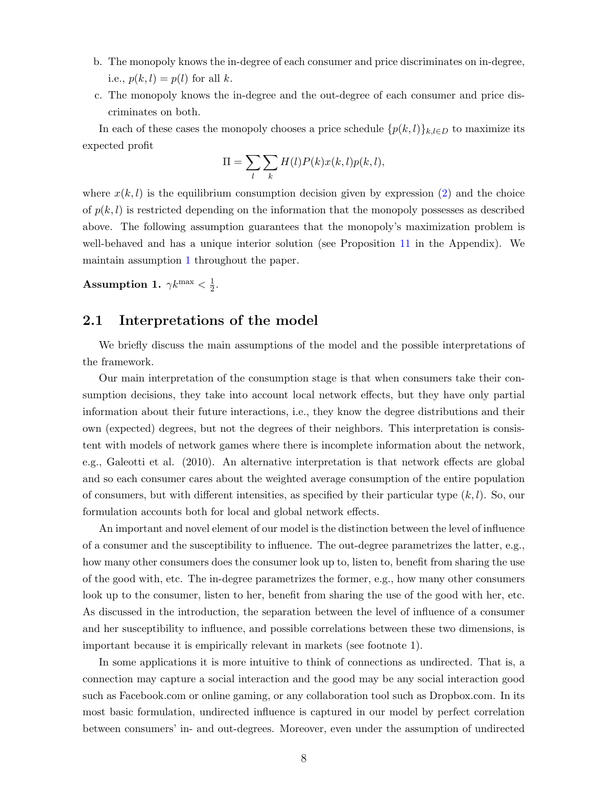- b. The monopoly knows the in-degree of each consumer and price discriminates on in-degree, i.e.,  $p(k, l) = p(l)$  for all k.
- c. The monopoly knows the in-degree and the out-degree of each consumer and price discriminates on both.

In each of these cases the monopoly chooses a price schedule  $\{p(k, l)\}_{k,l\in D}$  to maximize its expected profit

$$
\Pi = \sum_{l}\sum_{k}H(l)P(k)x(k,l)p(k,l),
$$

where  $x(k, l)$  is the equilibrium consumption decision given by expression [\(2\)](#page-7-0) and the choice of  $p(k, l)$  is restricted depending on the information that the monopoly possesses as described above. The following assumption guarantees that the monopoly's maximization problem is well-behaved and has a unique interior solution (see Proposition [11](#page-33-0) in the Appendix). We maintain assumption [1](#page-8-0) throughout the paper.

<span id="page-8-0"></span>Assumption 1.  $\gamma k^{\rm max} < \frac{1}{2}$  $\frac{1}{2}$ .

#### 2.1 Interpretations of the model

We briefly discuss the main assumptions of the model and the possible interpretations of the framework.

Our main interpretation of the consumption stage is that when consumers take their consumption decisions, they take into account local network effects, but they have only partial information about their future interactions, i.e., they know the degree distributions and their own (expected) degrees, but not the degrees of their neighbors. This interpretation is consistent with models of network games where there is incomplete information about the network, e.g., Galeotti et al. (2010). An alternative interpretation is that network effects are global and so each consumer cares about the weighted average consumption of the entire population of consumers, but with different intensities, as specified by their particular type  $(k, l)$ . So, our formulation accounts both for local and global network effects.

An important and novel element of our model is the distinction between the level of influence of a consumer and the susceptibility to influence. The out-degree parametrizes the latter, e.g., how many other consumers does the consumer look up to, listen to, benefit from sharing the use of the good with, etc. The in-degree parametrizes the former, e.g., how many other consumers look up to the consumer, listen to her, benefit from sharing the use of the good with her, etc. As discussed in the introduction, the separation between the level of influence of a consumer and her susceptibility to influence, and possible correlations between these two dimensions, is important because it is empirically relevant in markets (see footnote 1).

In some applications it is more intuitive to think of connections as undirected. That is, a connection may capture a social interaction and the good may be any social interaction good such as Facebook.com or online gaming, or any collaboration tool such as Dropbox.com. In its most basic formulation, undirected influence is captured in our model by perfect correlation between consumers' in- and out-degrees. Moreover, even under the assumption of undirected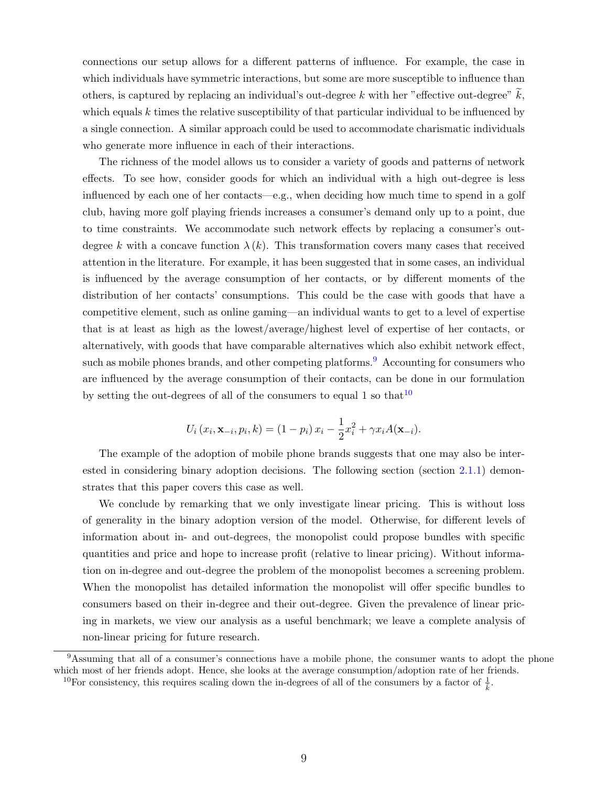connections our setup allows for a different patterns of influence. For example, the case in which individuals have symmetric interactions, but some are more susceptible to influence than others, is captured by replacing an individual's out-degree k with her "effective out-degree"  $\widetilde{k}$ , which equals  $k$  times the relative susceptibility of that particular individual to be influenced by a single connection. A similar approach could be used to accommodate charismatic individuals who generate more influence in each of their interactions.

The richness of the model allows us to consider a variety of goods and patterns of network effects. To see how, consider goods for which an individual with a high out-degree is less influenced by each one of her contacts—e.g., when deciding how much time to spend in a golf club, having more golf playing friends increases a consumer's demand only up to a point, due to time constraints. We accommodate such network effects by replacing a consumer's outdegree k with a concave function  $\lambda(k)$ . This transformation covers many cases that received attention in the literature. For example, it has been suggested that in some cases, an individual is influenced by the average consumption of her contacts, or by different moments of the distribution of her contacts' consumptions. This could be the case with goods that have a competitive element, such as online gaming—an individual wants to get to a level of expertise that is at least as high as the lowest/average/highest level of expertise of her contacts, or alternatively, with goods that have comparable alternatives which also exhibit network effect, such as mobile phones brands, and other competing platforms.<sup>[9](#page-9-0)</sup> Accounting for consumers who are influenced by the average consumption of their contacts, can be done in our formulation by setting the out-degrees of all of the consumers to equal 1 so that  $10^{-10}$  $10^{-10}$ 

$$
U_i(x_i, \mathbf{x}_{-i}, p_i, k) = (1 - p_i) x_i - \frac{1}{2} x_i^2 + \gamma x_i A(\mathbf{x}_{-i}).
$$

The example of the adoption of mobile phone brands suggests that one may also be interested in considering binary adoption decisions. The following section (section [2.1.1\)](#page-10-0) demonstrates that this paper covers this case as well.

We conclude by remarking that we only investigate linear pricing. This is without loss of generality in the binary adoption version of the model. Otherwise, for different levels of information about in- and out-degrees, the monopolist could propose bundles with specific quantities and price and hope to increase profit (relative to linear pricing). Without information on in-degree and out-degree the problem of the monopolist becomes a screening problem. When the monopolist has detailed information the monopolist will offer specific bundles to consumers based on their in-degree and their out-degree. Given the prevalence of linear pricing in markets, we view our analysis as a useful benchmark; we leave a complete analysis of non-linear pricing for future research.

<span id="page-9-0"></span><sup>&</sup>lt;sup>9</sup>Assuming that all of a consumer's connections have a mobile phone, the consumer wants to adopt the phone which most of her friends adopt. Hence, she looks at the average consumption/adoption rate of her friends.

<span id="page-9-1"></span><sup>&</sup>lt;sup>10</sup>For consistency, this requires scaling down the in-degrees of all of the consumers by a factor of  $\frac{1}{k}$ .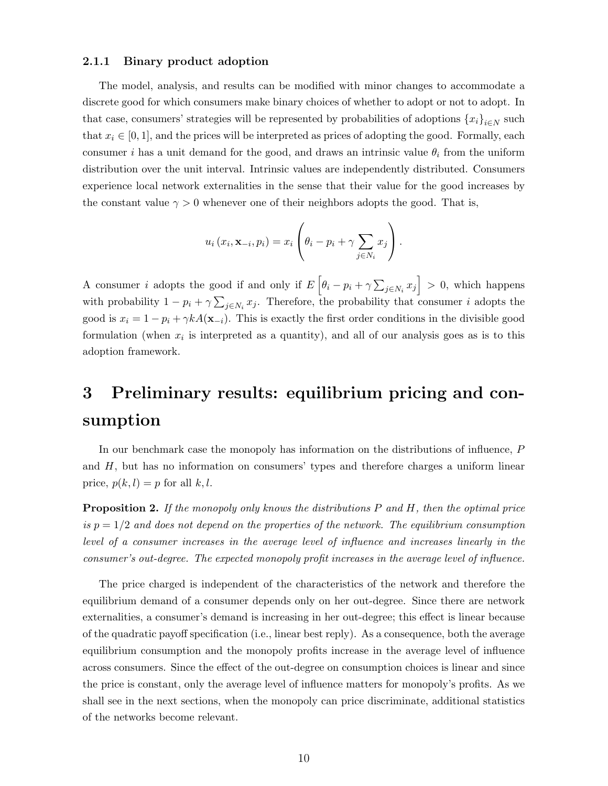#### <span id="page-10-0"></span>2.1.1 Binary product adoption

The model, analysis, and results can be modified with minor changes to accommodate a discrete good for which consumers make binary choices of whether to adopt or not to adopt. In that case, consumers' strategies will be represented by probabilities of adoptions  ${x_i}_{i\in N}$  such that  $x_i \in [0, 1]$ , and the prices will be interpreted as prices of adopting the good. Formally, each consumer i has a unit demand for the good, and draws an intrinsic value  $\theta_i$  from the uniform distribution over the unit interval. Intrinsic values are independently distributed. Consumers experience local network externalities in the sense that their value for the good increases by the constant value  $\gamma > 0$  whenever one of their neighbors adopts the good. That is,

$$
u_i(x_i, \mathbf{x}_{-i}, p_i) = x_i \left( \theta_i - p_i + \gamma \sum_{j \in N_i} x_j \right).
$$

A consumer *i* adopts the good if and only if  $E\left[\theta_i - p_i + \gamma \sum_{j \in N_i} x_j\right] > 0$ , which happens with probability  $1 - p_i + \gamma \sum_{j \in N_i} x_j$ . Therefore, the probability that consumer i adopts the good is  $x_i = 1 - p_i + \gamma k A(\mathbf{x}_{-i})$ . This is exactly the first order conditions in the divisible good formulation (when  $x_i$  is interpreted as a quantity), and all of our analysis goes as is to this adoption framework.

## 3 Preliminary results: equilibrium pricing and consumption

In our benchmark case the monopoly has information on the distributions of influence, P and  $H$ , but has no information on consumers' types and therefore charges a uniform linear price,  $p(k, l) = p$  for all k, l.

<span id="page-10-1"></span>**Proposition 2.** If the monopoly only knows the distributions  $P$  and  $H$ , then the optimal price is  $p = 1/2$  and does not depend on the properties of the network. The equilibrium consumption level of a consumer increases in the average level of influence and increases linearly in the consumer's out-degree. The expected monopoly profit increases in the average level of influence.

The price charged is independent of the characteristics of the network and therefore the equilibrium demand of a consumer depends only on her out-degree. Since there are network externalities, a consumer's demand is increasing in her out-degree; this effect is linear because of the quadratic payoff specification (i.e., linear best reply). As a consequence, both the average equilibrium consumption and the monopoly profits increase in the average level of influence across consumers. Since the effect of the out-degree on consumption choices is linear and since the price is constant, only the average level of influence matters for monopoly's profits. As we shall see in the next sections, when the monopoly can price discriminate, additional statistics of the networks become relevant.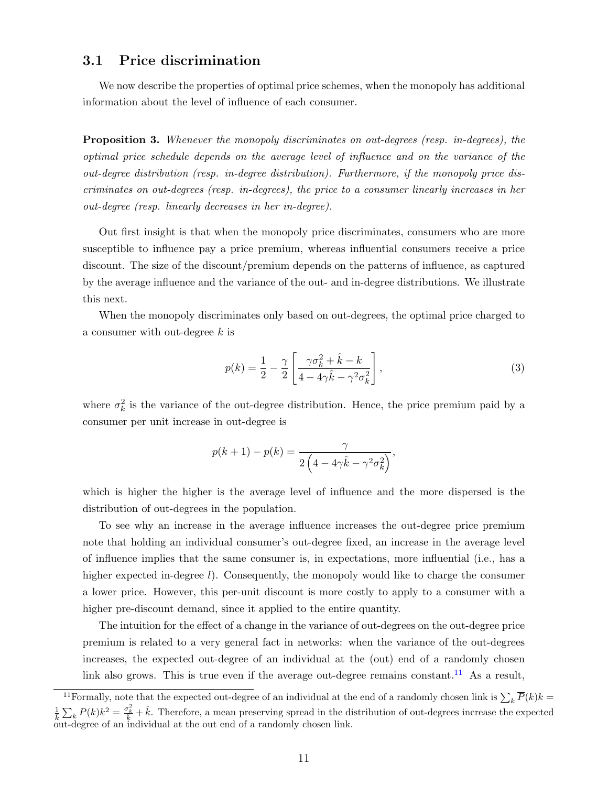#### 3.1 Price discrimination

We now describe the properties of optimal price schemes, when the monopoly has additional information about the level of influence of each consumer.

<span id="page-11-1"></span>**Proposition 3.** Whenever the monopoly discriminates on out-degrees (resp. in-degrees), the optimal price schedule depends on the average level of influence and on the variance of the out-degree distribution (resp. in-degree distribution). Furthermore, if the monopoly price discriminates on out-degrees (resp. in-degrees), the price to a consumer linearly increases in her out-degree (resp. linearly decreases in her in-degree).

Out first insight is that when the monopoly price discriminates, consumers who are more susceptible to influence pay a price premium, whereas influential consumers receive a price discount. The size of the discount/premium depends on the patterns of influence, as captured by the average influence and the variance of the out- and in-degree distributions. We illustrate this next.

When the monopoly discriminates only based on out-degrees, the optimal price charged to a consumer with out-degree  $k$  is

$$
p(k) = \frac{1}{2} - \frac{\gamma}{2} \left[ \frac{\gamma \sigma_k^2 + \hat{k} - k}{4 - 4\gamma \hat{k} - \gamma^2 \sigma_k^2} \right],
$$
\n(3)

where  $\sigma_k^2$  is the variance of the out-degree distribution. Hence, the price premium paid by a consumer per unit increase in out-degree is

$$
p(k+1) - p(k) = \frac{\gamma}{2\left(4 - 4\gamma\hat{k} - \gamma^2\sigma_k^2\right)},
$$

which is higher the higher is the average level of influence and the more dispersed is the distribution of out-degrees in the population.

To see why an increase in the average influence increases the out-degree price premium note that holding an individual consumer's out-degree fixed, an increase in the average level of influence implies that the same consumer is, in expectations, more influential (i.e., has a higher expected in-degree *l*). Consequently, the monopoly would like to charge the consumer a lower price. However, this per-unit discount is more costly to apply to a consumer with a higher pre-discount demand, since it applied to the entire quantity.

The intuition for the effect of a change in the variance of out-degrees on the out-degree price premium is related to a very general fact in networks: when the variance of the out-degrees increases, the expected out-degree of an individual at the (out) end of a randomly chosen link also grows. This is true even if the average out-degree remains constant.<sup>[11](#page-11-0)</sup> As a result,

<span id="page-11-0"></span><sup>&</sup>lt;sup>11</sup> Formally, note that the expected out-degree of an individual at the end of a randomly chosen link is  $\sum_k \overline{P}(k)k =$  $\frac{1}{k}\sum_{k}P(k)k^{2} = \frac{\sigma_{k}^{2}}{k} + \hat{k}$ . Therefore, a mean preserving spread in the distribution of out-degrees increase the expected out-degree of an individual at the out end of a randomly chosen link.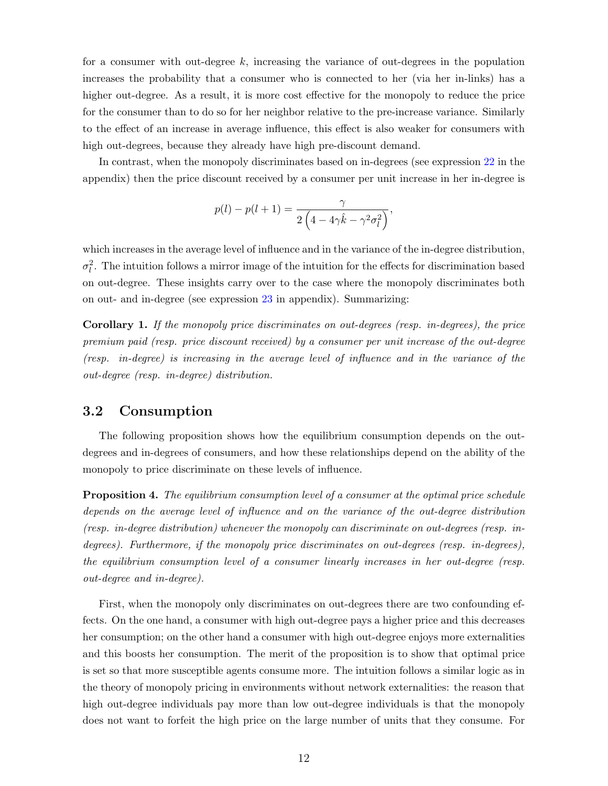for a consumer with out-degree  $k$ , increasing the variance of out-degrees in the population increases the probability that a consumer who is connected to her (via her in-links) has a higher out-degree. As a result, it is more cost effective for the monopoly to reduce the price for the consumer than to do so for her neighbor relative to the pre-increase variance. Similarly to the effect of an increase in average influence, this effect is also weaker for consumers with high out-degrees, because they already have high pre-discount demand.

In contrast, when the monopoly discriminates based on in-degrees (see expression [22](#page-33-1) in the appendix) then the price discount received by a consumer per unit increase in her in-degree is

$$
p(l) - p(l+1) = \frac{\gamma}{2\left(4 - 4\gamma\hat{k} - \gamma^2\sigma_l^2\right)},
$$

which increases in the average level of influence and in the variance of the in-degree distribution,  $\sigma_l^2$ . The intuition follows a mirror image of the intuition for the effects for discrimination based on out-degree. These insights carry over to the case where the monopoly discriminates both on out- and in-degree (see expression [23](#page-34-0) in appendix). Summarizing:

Corollary 1. If the monopoly price discriminates on out-degrees (resp. in-degrees), the price premium paid (resp. price discount received) by a consumer per unit increase of the out-degree (resp. in-degree) is increasing in the average level of influence and in the variance of the out-degree (resp. in-degree) distribution.

#### 3.2 Consumption

The following proposition shows how the equilibrium consumption depends on the outdegrees and in-degrees of consumers, and how these relationships depend on the ability of the monopoly to price discriminate on these levels of influence.

<span id="page-12-0"></span>**Proposition 4.** The equilibrium consumption level of a consumer at the optimal price schedule depends on the average level of influence and on the variance of the out-degree distribution (resp. in-degree distribution) whenever the monopoly can discriminate on out-degrees (resp. indegrees). Furthermore, if the monopoly price discriminates on out-degrees (resp. in-degrees), the equilibrium consumption level of a consumer linearly increases in her out-degree (resp. out-degree and in-degree).

First, when the monopoly only discriminates on out-degrees there are two confounding effects. On the one hand, a consumer with high out-degree pays a higher price and this decreases her consumption; on the other hand a consumer with high out-degree enjoys more externalities and this boosts her consumption. The merit of the proposition is to show that optimal price is set so that more susceptible agents consume more. The intuition follows a similar logic as in the theory of monopoly pricing in environments without network externalities: the reason that high out-degree individuals pay more than low out-degree individuals is that the monopoly does not want to forfeit the high price on the large number of units that they consume. For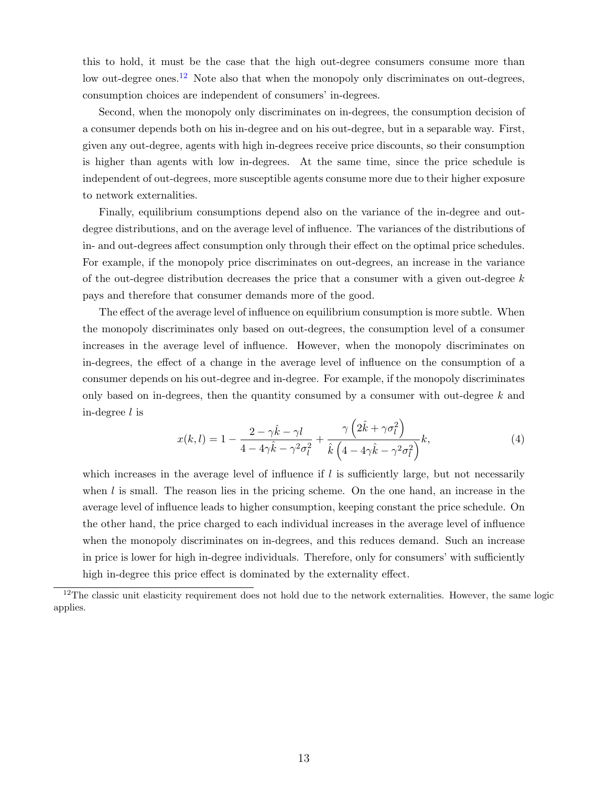this to hold, it must be the case that the high out-degree consumers consume more than low out-degree ones.<sup>[12](#page-13-0)</sup> Note also that when the monopoly only discriminates on out-degrees, consumption choices are independent of consumers' in-degrees.

Second, when the monopoly only discriminates on in-degrees, the consumption decision of a consumer depends both on his in-degree and on his out-degree, but in a separable way. First, given any out-degree, agents with high in-degrees receive price discounts, so their consumption is higher than agents with low in-degrees. At the same time, since the price schedule is independent of out-degrees, more susceptible agents consume more due to their higher exposure to network externalities.

Finally, equilibrium consumptions depend also on the variance of the in-degree and outdegree distributions, and on the average level of influence. The variances of the distributions of in- and out-degrees affect consumption only through their effect on the optimal price schedules. For example, if the monopoly price discriminates on out-degrees, an increase in the variance of the out-degree distribution decreases the price that a consumer with a given out-degree  $k$ pays and therefore that consumer demands more of the good.

The effect of the average level of influence on equilibrium consumption is more subtle. When the monopoly discriminates only based on out-degrees, the consumption level of a consumer increases in the average level of influence. However, when the monopoly discriminates on in-degrees, the effect of a change in the average level of influence on the consumption of a consumer depends on his out-degree and in-degree. For example, if the monopoly discriminates only based on in-degrees, then the quantity consumed by a consumer with out-degree  $k$  and in-degree l is

$$
x(k,l) = 1 - \frac{2 - \gamma \hat{k} - \gamma l}{4 - 4\gamma \hat{k} - \gamma^2 \sigma_l^2} + \frac{\gamma \left(2\hat{k} + \gamma \sigma_l^2\right)}{\hat{k} \left(4 - 4\gamma \hat{k} - \gamma^2 \sigma_l^2\right)} k,\tag{4}
$$

which increases in the average level of influence if  $l$  is sufficiently large, but not necessarily when  $l$  is small. The reason lies in the pricing scheme. On the one hand, an increase in the average level of influence leads to higher consumption, keeping constant the price schedule. On the other hand, the price charged to each individual increases in the average level of influence when the monopoly discriminates on in-degrees, and this reduces demand. Such an increase in price is lower for high in-degree individuals. Therefore, only for consumers' with sufficiently high in-degree this price effect is dominated by the externality effect.

<span id="page-13-0"></span> $12$ The classic unit elasticity requirement does not hold due to the network externalities. However, the same logic applies.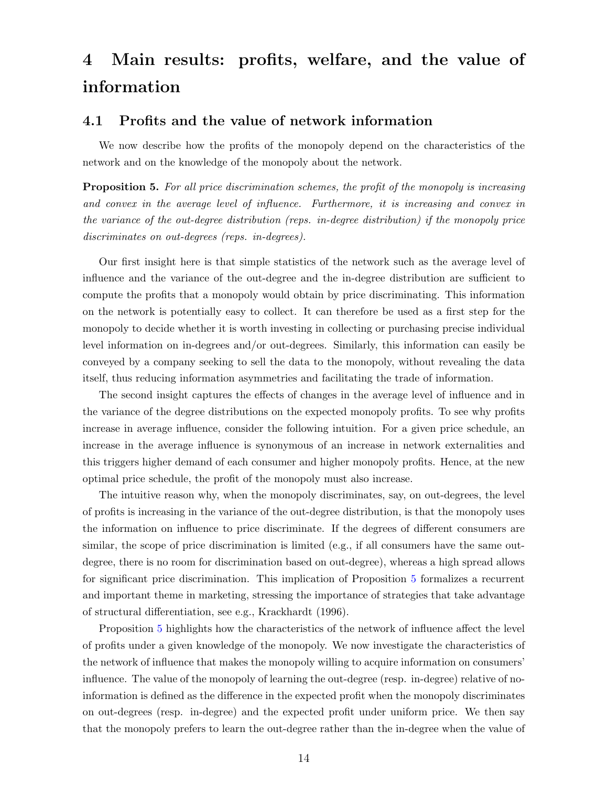## 4 Main results: profits, welfare, and the value of information

#### 4.1 Profits and the value of network information

We now describe how the profits of the monopoly depend on the characteristics of the network and on the knowledge of the monopoly about the network.

<span id="page-14-0"></span>**Proposition 5.** For all price discrimination schemes, the profit of the monopoly is increasing and convex in the average level of influence. Furthermore, it is increasing and convex in the variance of the out-degree distribution (reps. in-degree distribution) if the monopoly price discriminates on out-degrees (reps. in-degrees).

Our first insight here is that simple statistics of the network such as the average level of influence and the variance of the out-degree and the in-degree distribution are sufficient to compute the profits that a monopoly would obtain by price discriminating. This information on the network is potentially easy to collect. It can therefore be used as a first step for the monopoly to decide whether it is worth investing in collecting or purchasing precise individual level information on in-degrees and/or out-degrees. Similarly, this information can easily be conveyed by a company seeking to sell the data to the monopoly, without revealing the data itself, thus reducing information asymmetries and facilitating the trade of information.

The second insight captures the effects of changes in the average level of influence and in the variance of the degree distributions on the expected monopoly profits. To see why profits increase in average influence, consider the following intuition. For a given price schedule, an increase in the average influence is synonymous of an increase in network externalities and this triggers higher demand of each consumer and higher monopoly profits. Hence, at the new optimal price schedule, the profit of the monopoly must also increase.

The intuitive reason why, when the monopoly discriminates, say, on out-degrees, the level of profits is increasing in the variance of the out-degree distribution, is that the monopoly uses the information on influence to price discriminate. If the degrees of different consumers are similar, the scope of price discrimination is limited (e.g., if all consumers have the same outdegree, there is no room for discrimination based on out-degree), whereas a high spread allows for significant price discrimination. This implication of Proposition [5](#page-14-0) formalizes a recurrent and important theme in marketing, stressing the importance of strategies that take advantage of structural differentiation, see e.g., Krackhardt (1996).

Proposition [5](#page-14-0) highlights how the characteristics of the network of influence affect the level of profits under a given knowledge of the monopoly. We now investigate the characteristics of the network of influence that makes the monopoly willing to acquire information on consumers' influence. The value of the monopoly of learning the out-degree (resp. in-degree) relative of noinformation is defined as the difference in the expected profit when the monopoly discriminates on out-degrees (resp. in-degree) and the expected profit under uniform price. We then say that the monopoly prefers to learn the out-degree rather than the in-degree when the value of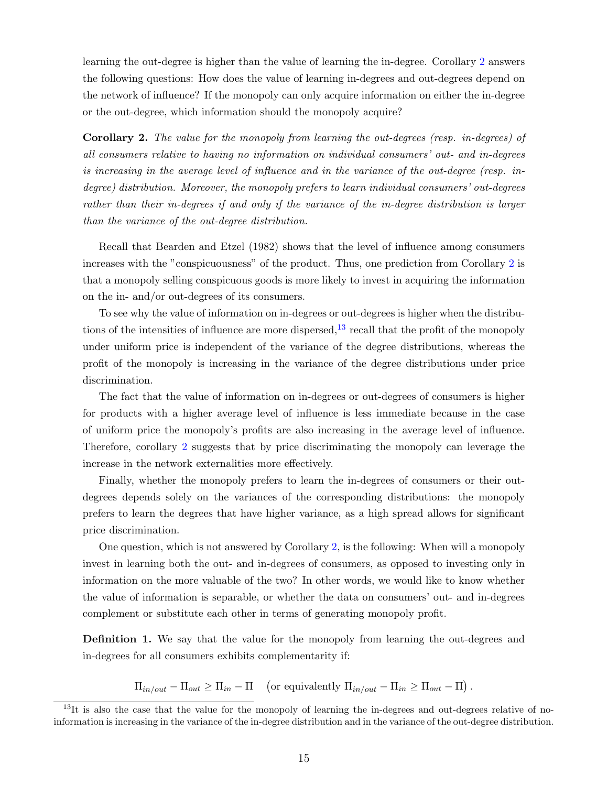learning the out-degree is higher than the value of learning the in-degree. Corollary [2](#page-15-0) answers the following questions: How does the value of learning in-degrees and out-degrees depend on the network of influence? If the monopoly can only acquire information on either the in-degree or the out-degree, which information should the monopoly acquire?

<span id="page-15-0"></span>Corollary 2. The value for the monopoly from learning the out-degrees (resp. in-degrees) of all consumers relative to having no information on individual consumers' out- and in-degrees is increasing in the average level of influence and in the variance of the out-degree (resp. indegree) distribution. Moreover, the monopoly prefers to learn individual consumers' out-degrees rather than their in-degrees if and only if the variance of the in-degree distribution is larger than the variance of the out-degree distribution.

Recall that Bearden and Etzel (1982) shows that the level of influence among consumers increases with the "conspicuousness" of the product. Thus, one prediction from Corollary [2](#page-15-0) is that a monopoly selling conspicuous goods is more likely to invest in acquiring the information on the in- and/or out-degrees of its consumers.

To see why the value of information on in-degrees or out-degrees is higher when the distributions of the intensities of influence are more dispersed,  $^{13}$  $^{13}$  $^{13}$  recall that the profit of the monopoly under uniform price is independent of the variance of the degree distributions, whereas the profit of the monopoly is increasing in the variance of the degree distributions under price discrimination.

The fact that the value of information on in-degrees or out-degrees of consumers is higher for products with a higher average level of influence is less immediate because in the case of uniform price the monopoly's profits are also increasing in the average level of influence. Therefore, corollary [2](#page-15-0) suggests that by price discriminating the monopoly can leverage the increase in the network externalities more effectively.

Finally, whether the monopoly prefers to learn the in-degrees of consumers or their outdegrees depends solely on the variances of the corresponding distributions: the monopoly prefers to learn the degrees that have higher variance, as a high spread allows for significant price discrimination.

One question, which is not answered by Corollary [2,](#page-15-0) is the following: When will a monopoly invest in learning both the out- and in-degrees of consumers, as opposed to investing only in information on the more valuable of the two? In other words, we would like to know whether the value of information is separable, or whether the data on consumers' out- and in-degrees complement or substitute each other in terms of generating monopoly profit.

**Definition 1.** We say that the value for the monopoly from learning the out-degrees and in-degrees for all consumers exhibits complementarity if:

 $\Pi_{in/out} - \Pi_{out} \ge \Pi_{in} - \Pi$  (or equivalently  $\Pi_{in/out} - \Pi_{in} \ge \Pi_{out} - \Pi$ ).

<span id="page-15-1"></span> $13$ It is also the case that the value for the monopoly of learning the in-degrees and out-degrees relative of noinformation is increasing in the variance of the in-degree distribution and in the variance of the out-degree distribution.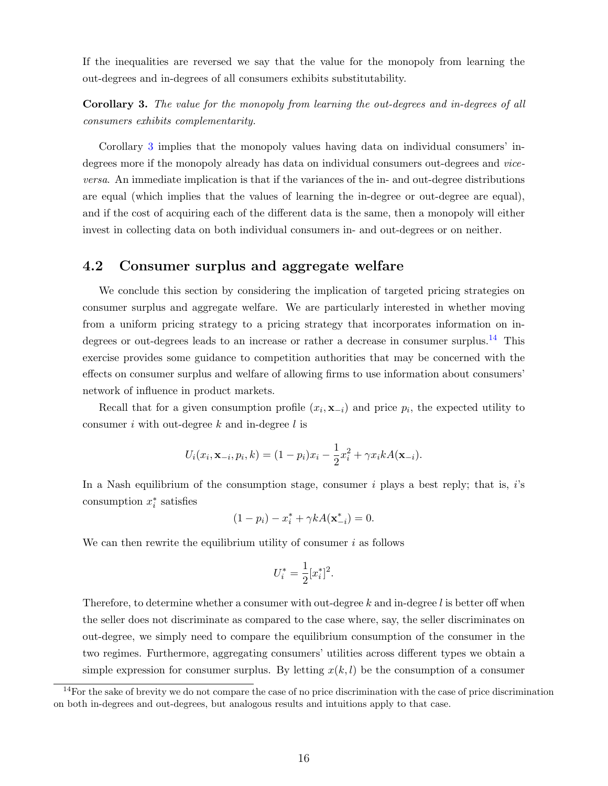If the inequalities are reversed we say that the value for the monopoly from learning the out-degrees and in-degrees of all consumers exhibits substitutability.

<span id="page-16-0"></span>Corollary 3. The value for the monopoly from learning the out-degrees and in-degrees of all consumers exhibits complementarity.

Corollary [3](#page-16-0) implies that the monopoly values having data on individual consumers' indegrees more if the monopoly already has data on individual consumers out-degrees and viceversa. An immediate implication is that if the variances of the in- and out-degree distributions are equal (which implies that the values of learning the in-degree or out-degree are equal), and if the cost of acquiring each of the different data is the same, then a monopoly will either invest in collecting data on both individual consumers in- and out-degrees or on neither.

#### 4.2 Consumer surplus and aggregate welfare

We conclude this section by considering the implication of targeted pricing strategies on consumer surplus and aggregate welfare. We are particularly interested in whether moving from a uniform pricing strategy to a pricing strategy that incorporates information on in-degrees or out-degrees leads to an increase or rather a decrease in consumer surplus.<sup>[14](#page-16-1)</sup> This exercise provides some guidance to competition authorities that may be concerned with the effects on consumer surplus and welfare of allowing firms to use information about consumers' network of influence in product markets.

Recall that for a given consumption profile  $(x_i, \mathbf{x}_{-i})$  and price  $p_i$ , the expected utility to consumer i with out-degree  $k$  and in-degree  $l$  is

$$
U_i(x_i, \mathbf{x}_{-i}, p_i, k) = (1 - p_i)x_i - \frac{1}{2}x_i^2 + \gamma x_i k A(\mathbf{x}_{-i}).
$$

In a Nash equilibrium of the consumption stage, consumer  $i$  plays a best reply; that is,  $i$ 's consumption  $x_i^*$  satisfies

$$
(1 - p_i) - x_i^* + \gamma k A(\mathbf{x}_{-i}^*) = 0.
$$

We can then rewrite the equilibrium utility of consumer  $i$  as follows

$$
U_i^* = \frac{1}{2} [x_i^*]^2.
$$

Therefore, to determine whether a consumer with out-degree  $k$  and in-degree  $l$  is better off when the seller does not discriminate as compared to the case where, say, the seller discriminates on out-degree, we simply need to compare the equilibrium consumption of the consumer in the two regimes. Furthermore, aggregating consumers' utilities across different types we obtain a simple expression for consumer surplus. By letting  $x(k, l)$  be the consumption of a consumer

<span id="page-16-1"></span><sup>&</sup>lt;sup>14</sup>For the sake of brevity we do not compare the case of no price discrimination with the case of price discrimination on both in-degrees and out-degrees, but analogous results and intuitions apply to that case.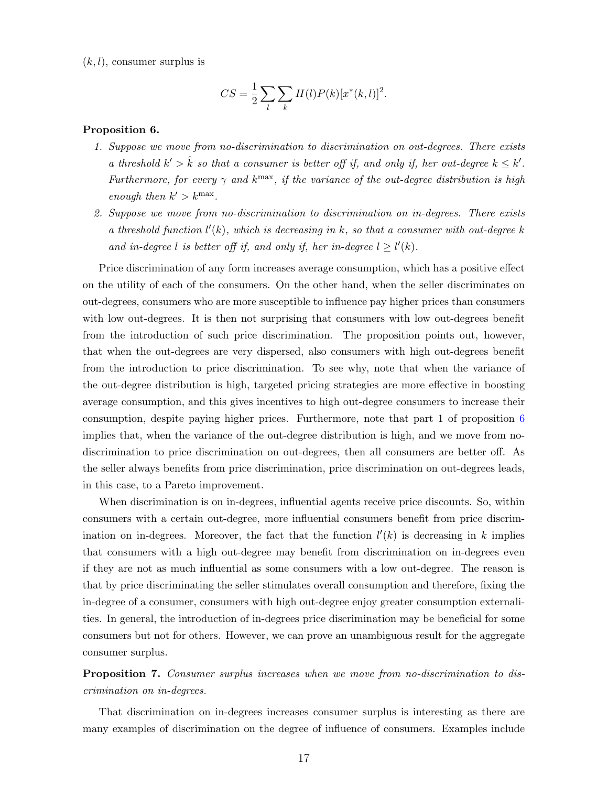$(k, l)$ , consumer surplus is

$$
CS = \frac{1}{2} \sum_{l} \sum_{k} H(l) P(k) [x^*(k, l)]^2.
$$

#### <span id="page-17-0"></span>Proposition 6.

- 1. Suppose we move from no-discrimination to discrimination on out-degrees. There exists a threshold  $k' > \hat{k}$  so that a consumer is better off if, and only if, her out-degree  $k \leq k'$ . Furthermore, for every  $\gamma$  and  $k^{\text{max}}$ , if the variance of the out-degree distribution is high enough then  $k' > k^{\max}$ .
- 2. Suppose we move from no-discrimination to discrimination on in-degrees. There exists a threshold function  $l'(k)$ , which is decreasing in k, so that a consumer with out-degree k and in-degree l is better off if, and only if, her in-degree  $l \geq l'(k)$ .

Price discrimination of any form increases average consumption, which has a positive effect on the utility of each of the consumers. On the other hand, when the seller discriminates on out-degrees, consumers who are more susceptible to influence pay higher prices than consumers with low out-degrees. It is then not surprising that consumers with low out-degrees benefit from the introduction of such price discrimination. The proposition points out, however, that when the out-degrees are very dispersed, also consumers with high out-degrees benefit from the introduction to price discrimination. To see why, note that when the variance of the out-degree distribution is high, targeted pricing strategies are more effective in boosting average consumption, and this gives incentives to high out-degree consumers to increase their consumption, despite paying higher prices. Furthermore, note that part 1 of proposition [6](#page-17-0) implies that, when the variance of the out-degree distribution is high, and we move from nodiscrimination to price discrimination on out-degrees, then all consumers are better off. As the seller always benefits from price discrimination, price discrimination on out-degrees leads, in this case, to a Pareto improvement.

When discrimination is on in-degrees, influential agents receive price discounts. So, within consumers with a certain out-degree, more influential consumers benefit from price discrimination on in-degrees. Moreover, the fact that the function  $l'(k)$  is decreasing in k implies that consumers with a high out-degree may benefit from discrimination on in-degrees even if they are not as much influential as some consumers with a low out-degree. The reason is that by price discriminating the seller stimulates overall consumption and therefore, fixing the in-degree of a consumer, consumers with high out-degree enjoy greater consumption externalities. In general, the introduction of in-degrees price discrimination may be beneficial for some consumers but not for others. However, we can prove an unambiguous result for the aggregate consumer surplus.

<span id="page-17-1"></span>**Proposition 7.** Consumer surplus increases when we move from no-discrimination to discrimination on in-degrees.

That discrimination on in-degrees increases consumer surplus is interesting as there are many examples of discrimination on the degree of influence of consumers. Examples include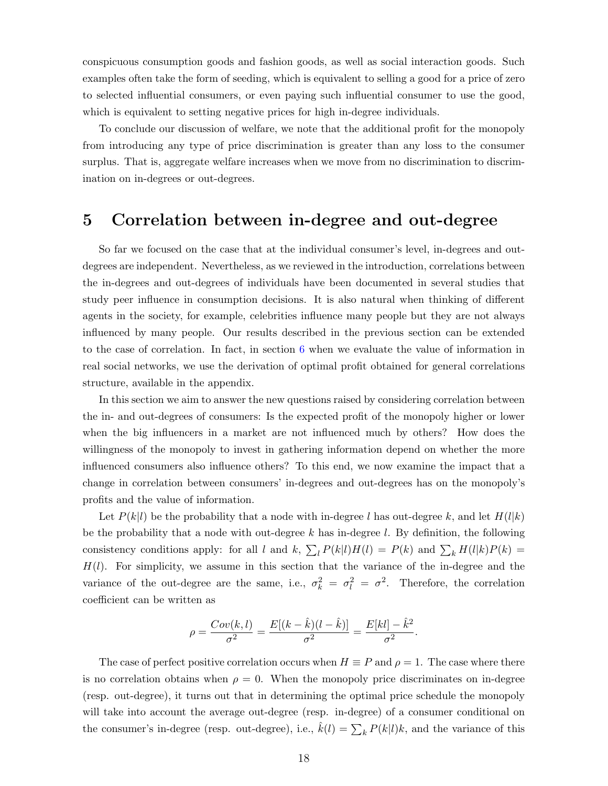conspicuous consumption goods and fashion goods, as well as social interaction goods. Such examples often take the form of seeding, which is equivalent to selling a good for a price of zero to selected influential consumers, or even paying such influential consumer to use the good, which is equivalent to setting negative prices for high in-degree individuals.

To conclude our discussion of welfare, we note that the additional profit for the monopoly from introducing any type of price discrimination is greater than any loss to the consumer surplus. That is, aggregate welfare increases when we move from no discrimination to discrimination on in-degrees or out-degrees.

#### <span id="page-18-0"></span>5 Correlation between in-degree and out-degree

So far we focused on the case that at the individual consumer's level, in-degrees and outdegrees are independent. Nevertheless, as we reviewed in the introduction, correlations between the in-degrees and out-degrees of individuals have been documented in several studies that study peer influence in consumption decisions. It is also natural when thinking of different agents in the society, for example, celebrities influence many people but they are not always influenced by many people. Our results described in the previous section can be extended to the case of correlation. In fact, in section [6](#page-20-0) when we evaluate the value of information in real social networks, we use the derivation of optimal profit obtained for general correlations structure, available in the appendix.

In this section we aim to answer the new questions raised by considering correlation between the in- and out-degrees of consumers: Is the expected profit of the monopoly higher or lower when the big influencers in a market are not influenced much by others? How does the willingness of the monopoly to invest in gathering information depend on whether the more influenced consumers also influence others? To this end, we now examine the impact that a change in correlation between consumers' in-degrees and out-degrees has on the monopoly's profits and the value of information.

Let  $P(k|l)$  be the probability that a node with in-degree l has out-degree k, and let  $H(l|k)$ be the probability that a node with out-degree k has in-degree l. By definition, the following consistency conditions apply: for all l and k,  $\sum_{l} P(k|l)H(l) = P(k)$  and  $\sum_{k} H(l|k)P(k) =$  $H(l)$ . For simplicity, we assume in this section that the variance of the in-degree and the variance of the out-degree are the same, i.e.,  $\sigma_k^2 = \sigma_l^2 = \sigma^2$ . Therefore, the correlation coefficient can be written as

$$
\rho = \frac{Cov(k,l)}{\sigma^2} = \frac{E[(k - \hat{k})(l - \hat{k})]}{\sigma^2} = \frac{E[kl] - \hat{k}^2}{\sigma^2}.
$$

The case of perfect positive correlation occurs when  $H \equiv P$  and  $\rho = 1$ . The case where there is no correlation obtains when  $\rho = 0$ . When the monopoly price discriminates on in-degree (resp. out-degree), it turns out that in determining the optimal price schedule the monopoly will take into account the average out-degree (resp. in-degree) of a consumer conditional on the consumer's in-degree (resp. out-degree), i.e.,  $\hat{k}(l) = \sum_{k} P(k|l)k$ , and the variance of this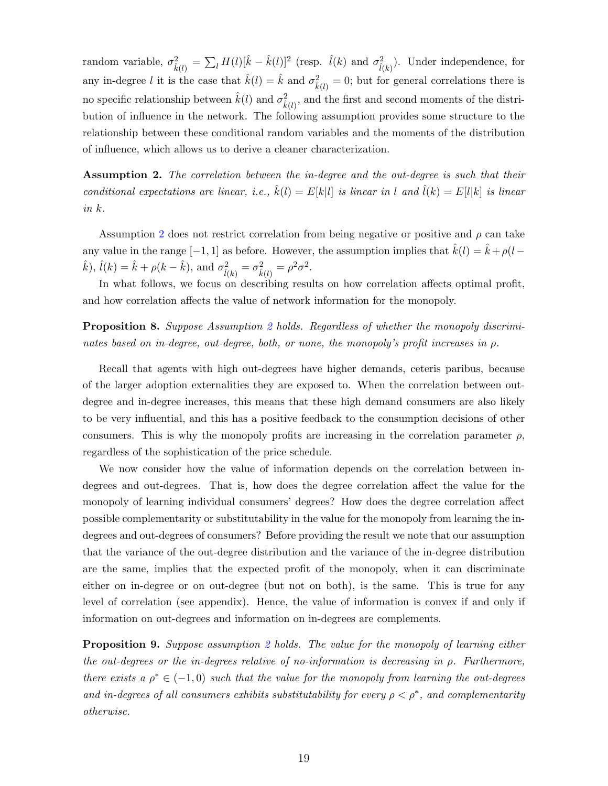random variable,  $\sigma_{\hat{k}(l)}^2 = \sum_l H(l)[\hat{k} - \hat{k}(l)]^2$  (resp.  $\hat{l}(k)$  and  $\sigma_{\hat{l}(k)}^2$ ). Under independence, for any in-degree l it is the case that  $\hat{k}(l) = \hat{k}$  and  $\sigma_{\hat{k}(l)}^2 = 0$ ; but for general correlations there is no specific relationship between  $\hat{k}(l)$  and  $\sigma_{\hat{k}(l)}^2$ , and the first and second moments of the distribution of influence in the network. The following assumption provides some structure to the relationship between these conditional random variables and the moments of the distribution of influence, which allows us to derive a cleaner characterization.

<span id="page-19-0"></span>**Assumption 2.** The correlation between the in-degree and the out-degree is such that their conditional expectations are linear, i.e.,  $\hat{k}(l) = E[k|l]$  is linear in l and  $\hat{l}(k) = E[l|k]$  is linear in k.

Assumption [2](#page-19-0) does not restrict correlation from being negative or positive and  $\rho$  can take any value in the range  $[-1, 1]$  as before. However, the assumption implies that  $\hat{k}(l) = \hat{k} + \rho(l - \hat{k})$  $(\hat{k}), \hat{l}(k) = \hat{k} + \rho(k - \hat{k}), \text{ and } \sigma^2_{\hat{l}(k)} = \sigma^2_{\hat{k}(l)} = \rho^2 \sigma^2.$ 

In what follows, we focus on describing results on how correlation affects optimal profit, and how correlation affects the value of network information for the monopoly.

<span id="page-19-2"></span>**Proposition 8.** Suppose Assumption [2](#page-19-0) holds. Regardless of whether the monopoly discriminates based on in-degree, out-degree, both, or none, the monopoly's profit increases in  $\rho$ .

Recall that agents with high out-degrees have higher demands, ceteris paribus, because of the larger adoption externalities they are exposed to. When the correlation between outdegree and in-degree increases, this means that these high demand consumers are also likely to be very influential, and this has a positive feedback to the consumption decisions of other consumers. This is why the monopoly profits are increasing in the correlation parameter  $\rho$ , regardless of the sophistication of the price schedule.

We now consider how the value of information depends on the correlation between indegrees and out-degrees. That is, how does the degree correlation affect the value for the monopoly of learning individual consumers' degrees? How does the degree correlation affect possible complementarity or substitutability in the value for the monopoly from learning the indegrees and out-degrees of consumers? Before providing the result we note that our assumption that the variance of the out-degree distribution and the variance of the in-degree distribution are the same, implies that the expected profit of the monopoly, when it can discriminate either on in-degree or on out-degree (but not on both), is the same. This is true for any level of correlation (see appendix). Hence, the value of information is convex if and only if information on out-degrees and information on in-degrees are complements.

<span id="page-19-1"></span>**Proposition 9.** Suppose assumption [2](#page-19-0) holds. The value for the monopoly of learning either the out-degrees or the in-degrees relative of no-information is decreasing in  $\rho$ . Furthermore, there exists a  $\rho^* \in (-1,0)$  such that the value for the monopoly from learning the out-degrees and in-degrees of all consumers exhibits substitutability for every  $\rho < \rho^*$ , and complementarity otherwise.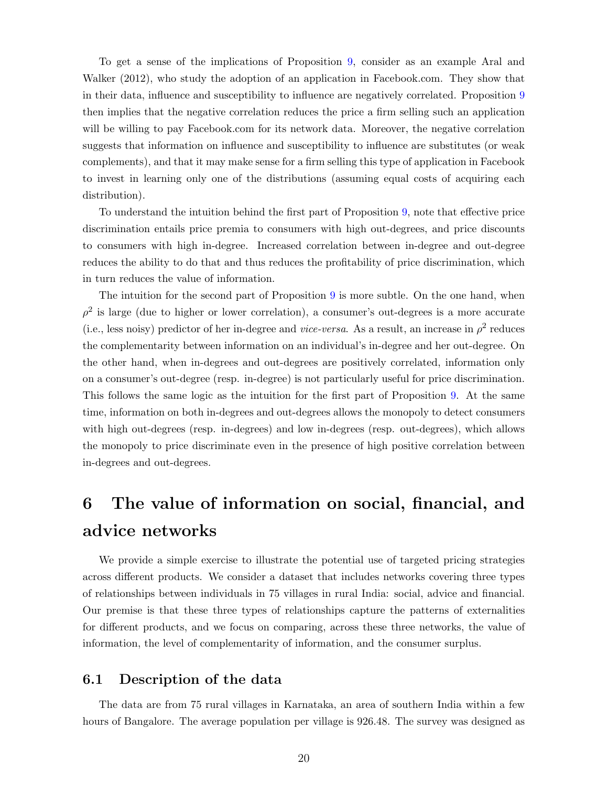To get a sense of the implications of Proposition [9,](#page-19-1) consider as an example Aral and Walker (2012), who study the adoption of an application in Facebook.com. They show that in their data, influence and susceptibility to influence are negatively correlated. Proposition [9](#page-19-1) then implies that the negative correlation reduces the price a firm selling such an application will be willing to pay Facebook.com for its network data. Moreover, the negative correlation suggests that information on influence and susceptibility to influence are substitutes (or weak complements), and that it may make sense for a firm selling this type of application in Facebook to invest in learning only one of the distributions (assuming equal costs of acquiring each distribution).

To understand the intuition behind the first part of Proposition [9,](#page-19-1) note that effective price discrimination entails price premia to consumers with high out-degrees, and price discounts to consumers with high in-degree. Increased correlation between in-degree and out-degree reduces the ability to do that and thus reduces the profitability of price discrimination, which in turn reduces the value of information.

The intuition for the second part of Proposition [9](#page-19-1) is more subtle. On the one hand, when  $\rho^2$  is large (due to higher or lower correlation), a consumer's out-degrees is a more accurate (i.e., less noisy) predictor of her in-degree and *vice-versa*. As a result, an increase in  $\rho^2$  reduces the complementarity between information on an individual's in-degree and her out-degree. On the other hand, when in-degrees and out-degrees are positively correlated, information only on a consumer's out-degree (resp. in-degree) is not particularly useful for price discrimination. This follows the same logic as the intuition for the first part of Proposition [9.](#page-19-1) At the same time, information on both in-degrees and out-degrees allows the monopoly to detect consumers with high out-degrees (resp. in-degrees) and low in-degrees (resp. out-degrees), which allows the monopoly to price discriminate even in the presence of high positive correlation between in-degrees and out-degrees.

## <span id="page-20-0"></span>6 The value of information on social, financial, and advice networks

We provide a simple exercise to illustrate the potential use of targeted pricing strategies across different products. We consider a dataset that includes networks covering three types of relationships between individuals in 75 villages in rural India: social, advice and financial. Our premise is that these three types of relationships capture the patterns of externalities for different products, and we focus on comparing, across these three networks, the value of information, the level of complementarity of information, and the consumer surplus.

#### 6.1 Description of the data

The data are from 75 rural villages in Karnataka, an area of southern India within a few hours of Bangalore. The average population per village is 926.48. The survey was designed as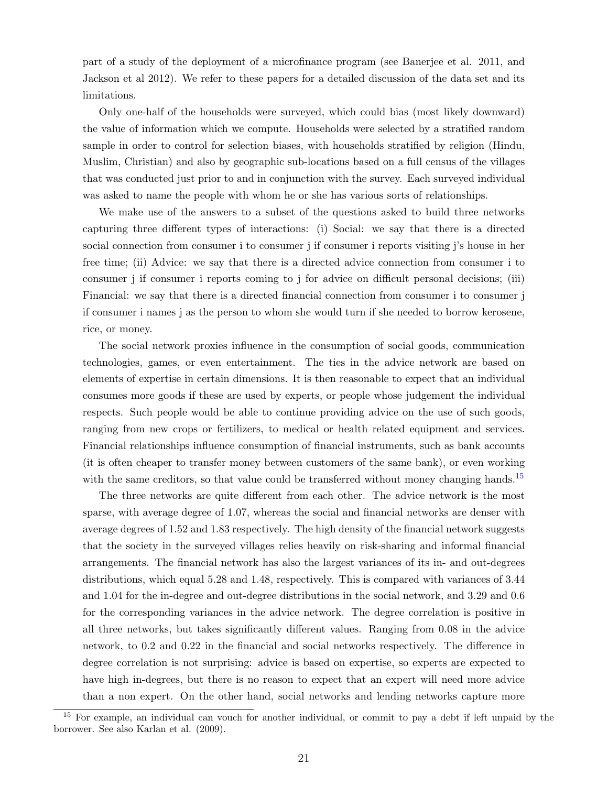part of a study of the deployment of a microfinance program (see Banerjee et al. 2011, and Jackson et al 2012). We refer to these papers for a detailed discussion of the data set and its limitations.

Only one-half of the households were surveyed, which could bias (most likely downward) the value of information which we compute. Households were selected by a stratified random sample in order to control for selection biases, with households stratified by religion (Hindu, Muslim, Christian) and also by geographic sub-locations based on a full census of the villages that was conducted just prior to and in conjunction with the survey. Each surveyed individual was asked to name the people with whom he or she has various sorts of relationships.

We make use of the answers to a subset of the questions asked to build three networks capturing three different types of interactions: (i) Social: we say that there is a directed social connection from consumer i to consumer j if consumer i reports visiting j's house in her free time; (ii) Advice: we say that there is a directed advice connection from consumer i to consumer j if consumer i reports coming to j for advice on difficult personal decisions; (iii) Financial: we say that there is a directed financial connection from consumer i to consumer j if consumer i names j as the person to whom she would turn if she needed to borrow kerosene, rice, or money.

The social network proxies influence in the consumption of social goods, communication technologies, games, or even entertainment. The ties in the advice network are based on elements of expertise in certain dimensions. It is then reasonable to expect that an individual consumes more goods if these are used by experts, or people whose judgement the individual respects. Such people would be able to continue providing advice on the use of such goods, ranging from new crops or fertilizers, to medical or health related equipment and services. Financial relationships influence consumption of financial instruments, such as bank accounts (it is often cheaper to transfer money between customers of the same bank), or even working with the same creditors, so that value could be transferred without money changing hands.<sup>[15](#page-21-0)</sup>

The three networks are quite different from each other. The advice network is the most sparse, with average degree of 1.07, whereas the social and financial networks are denser with average degrees of 1.52 and 1.83 respectively. The high density of the financial network suggests that the society in the surveyed villages relies heavily on risk-sharing and informal financial arrangements. The financial network has also the largest variances of its in- and out-degrees distributions, which equal 5.28 and 1.48, respectively. This is compared with variances of 3.44 and 1.04 for the in-degree and out-degree distributions in the social network, and 3.29 and 0.6 for the corresponding variances in the advice network. The degree correlation is positive in all three networks, but takes significantly different values. Ranging from 0.08 in the advice network, to 0.2 and 0.22 in the financial and social networks respectively. The difference in degree correlation is not surprising: advice is based on expertise, so experts are expected to have high in-degrees, but there is no reason to expect that an expert will need more advice than a non expert. On the other hand, social networks and lending networks capture more

<span id="page-21-0"></span><sup>&</sup>lt;sup>15</sup> For example, an individual can vouch for another individual, or commit to pay a debt if left unpaid by the borrower. See also Karlan et al. (2009).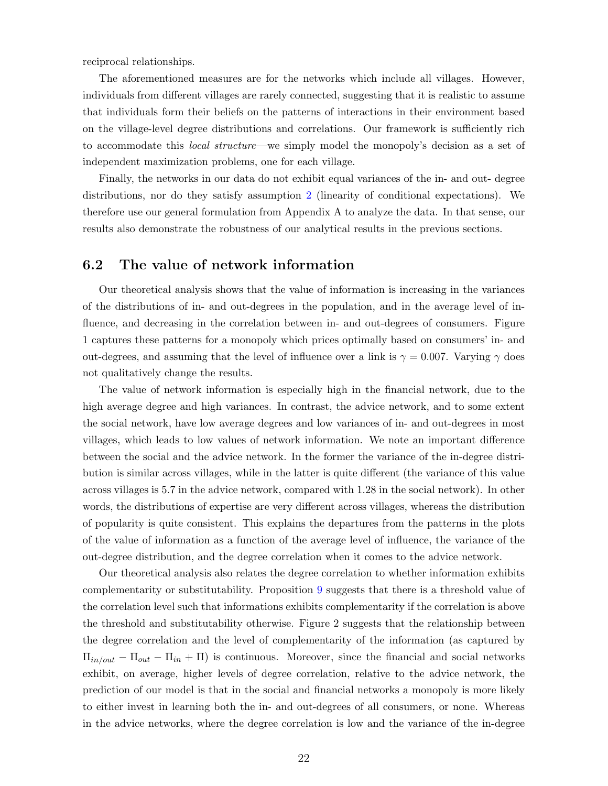reciprocal relationships.

The aforementioned measures are for the networks which include all villages. However, individuals from different villages are rarely connected, suggesting that it is realistic to assume that individuals form their beliefs on the patterns of interactions in their environment based on the village-level degree distributions and correlations. Our framework is sufficiently rich to accommodate this *local structure*—we simply model the monopoly's decision as a set of independent maximization problems, one for each village.

Finally, the networks in our data do not exhibit equal variances of the in- and out- degree distributions, nor do they satisfy assumption [2](#page-19-0) (linearity of conditional expectations). We therefore use our general formulation from Appendix A to analyze the data. In that sense, our results also demonstrate the robustness of our analytical results in the previous sections.

#### 6.2 The value of network information

Our theoretical analysis shows that the value of information is increasing in the variances of the distributions of in- and out-degrees in the population, and in the average level of influence, and decreasing in the correlation between in- and out-degrees of consumers. Figure 1 captures these patterns for a monopoly which prices optimally based on consumers' in- and out-degrees, and assuming that the level of influence over a link is  $\gamma = 0.007$ . Varying  $\gamma$  does not qualitatively change the results.

The value of network information is especially high in the financial network, due to the high average degree and high variances. In contrast, the advice network, and to some extent the social network, have low average degrees and low variances of in- and out-degrees in most villages, which leads to low values of network information. We note an important difference between the social and the advice network. In the former the variance of the in-degree distribution is similar across villages, while in the latter is quite different (the variance of this value across villages is 5.7 in the advice network, compared with 1.28 in the social network). In other words, the distributions of expertise are very different across villages, whereas the distribution of popularity is quite consistent. This explains the departures from the patterns in the plots of the value of information as a function of the average level of influence, the variance of the out-degree distribution, and the degree correlation when it comes to the advice network.

Our theoretical analysis also relates the degree correlation to whether information exhibits complementarity or substitutability. Proposition [9](#page-19-1) suggests that there is a threshold value of the correlation level such that informations exhibits complementarity if the correlation is above the threshold and substitutability otherwise. Figure 2 suggests that the relationship between the degree correlation and the level of complementarity of the information (as captured by  $\Pi_{in/out} - \Pi_{out} - \Pi_{in} + \Pi$ ) is continuous. Moreover, since the financial and social networks exhibit, on average, higher levels of degree correlation, relative to the advice network, the prediction of our model is that in the social and financial networks a monopoly is more likely to either invest in learning both the in- and out-degrees of all consumers, or none. Whereas in the advice networks, where the degree correlation is low and the variance of the in-degree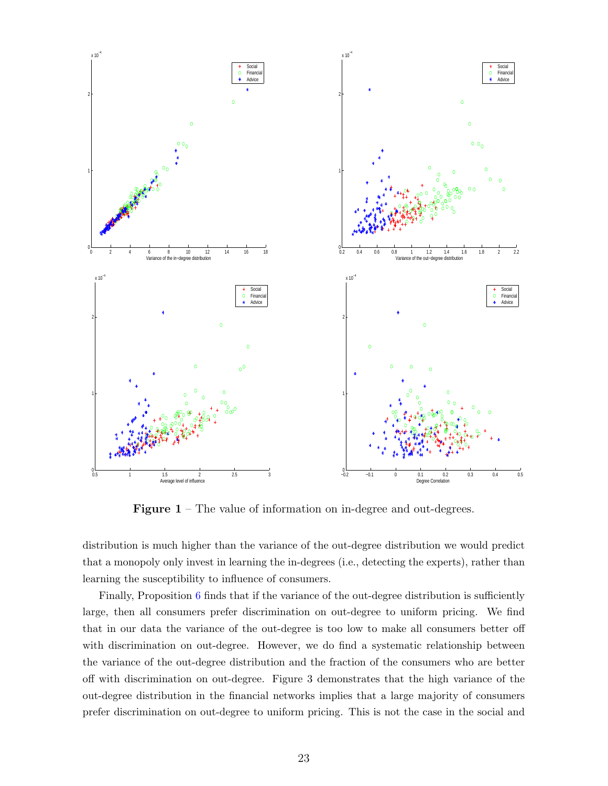

**Figure 1** – The value of information on in-degree and out-degrees.

distribution is much higher than the variance of the out-degree distribution we would predict that a monopoly only invest in learning the in-degrees (i.e., detecting the experts), rather than learning the susceptibility to influence of consumers.

Finally, Proposition [6](#page-17-0) finds that if the variance of the out-degree distribution is sufficiently large, then all consumers prefer discrimination on out-degree to uniform pricing. We find that in our data the variance of the out-degree is too low to make all consumers better off with discrimination on out-degree. However, we do find a systematic relationship between the variance of the out-degree distribution and the fraction of the consumers who are better off with discrimination on out-degree. Figure 3 demonstrates that the high variance of the out-degree distribution in the financial networks implies that a large majority of consumers prefer discrimination on out-degree to uniform pricing. This is not the case in the social and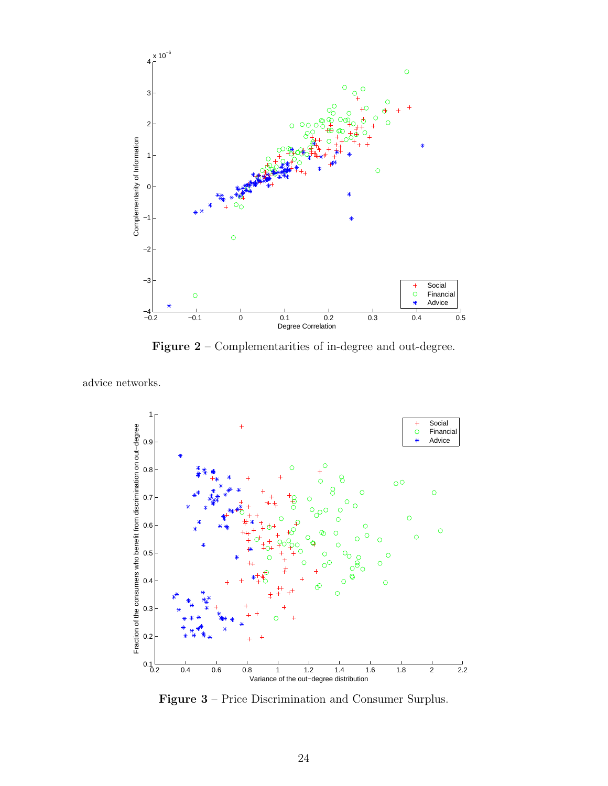

Figure 2 – Complementarities of in-degree and out-degree.

advice networks.



Figure 3 – Price Discrimination and Consumer Surplus.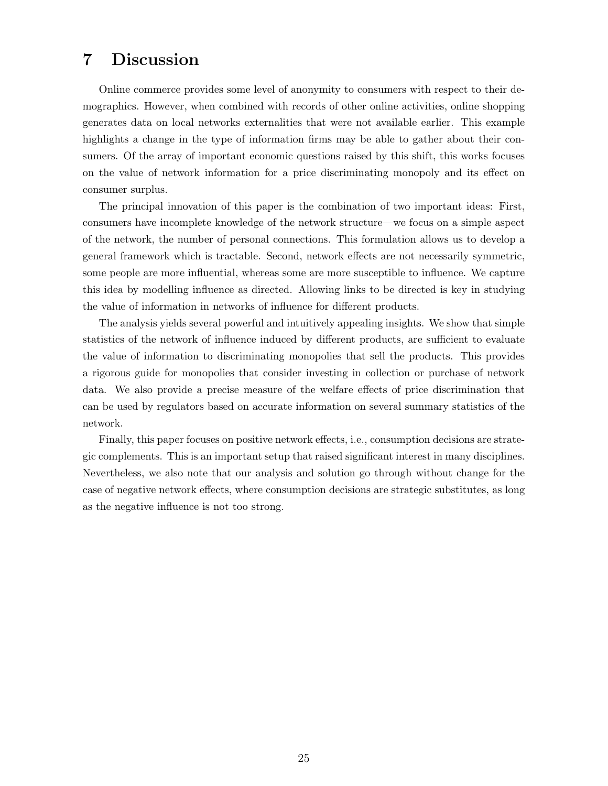#### 7 Discussion

Online commerce provides some level of anonymity to consumers with respect to their demographics. However, when combined with records of other online activities, online shopping generates data on local networks externalities that were not available earlier. This example highlights a change in the type of information firms may be able to gather about their consumers. Of the array of important economic questions raised by this shift, this works focuses on the value of network information for a price discriminating monopoly and its effect on consumer surplus.

The principal innovation of this paper is the combination of two important ideas: First, consumers have incomplete knowledge of the network structure—we focus on a simple aspect of the network, the number of personal connections. This formulation allows us to develop a general framework which is tractable. Second, network effects are not necessarily symmetric, some people are more influential, whereas some are more susceptible to influence. We capture this idea by modelling influence as directed. Allowing links to be directed is key in studying the value of information in networks of influence for different products.

The analysis yields several powerful and intuitively appealing insights. We show that simple statistics of the network of influence induced by different products, are sufficient to evaluate the value of information to discriminating monopolies that sell the products. This provides a rigorous guide for monopolies that consider investing in collection or purchase of network data. We also provide a precise measure of the welfare effects of price discrimination that can be used by regulators based on accurate information on several summary statistics of the network.

Finally, this paper focuses on positive network effects, i.e., consumption decisions are strategic complements. This is an important setup that raised significant interest in many disciplines. Nevertheless, we also note that our analysis and solution go through without change for the case of negative network effects, where consumption decisions are strategic substitutes, as long as the negative influence is not too strong.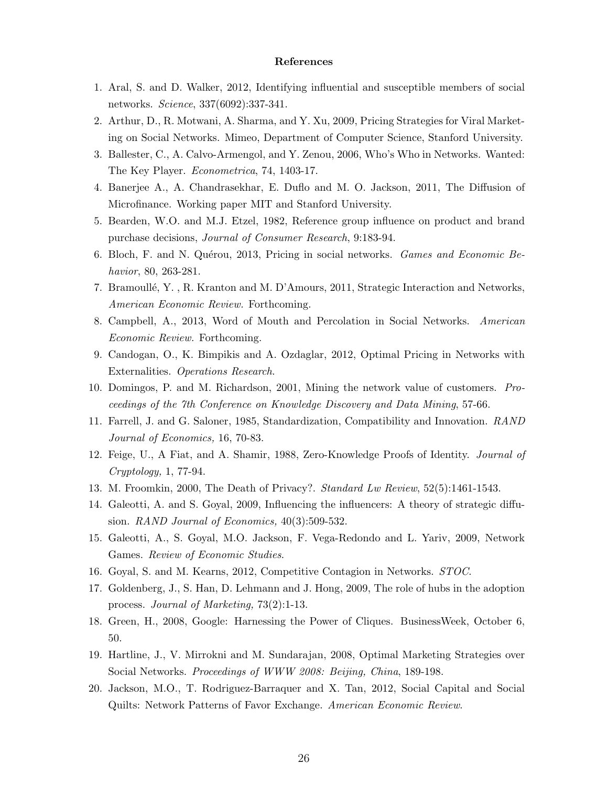#### References

- 1. Aral, S. and D. Walker, 2012, Identifying influential and susceptible members of social networks. Science, 337(6092):337-341.
- 2. Arthur, D., R. Motwani, A. Sharma, and Y. Xu, 2009, Pricing Strategies for Viral Marketing on Social Networks. Mimeo, Department of Computer Science, Stanford University.
- 3. Ballester, C., A. Calvo-Armengol, and Y. Zenou, 2006, Who's Who in Networks. Wanted: The Key Player. Econometrica, 74, 1403-17.
- 4. Banerjee A., A. Chandrasekhar, E. Duflo and M. O. Jackson, 2011, The Diffusion of Microfinance. Working paper MIT and Stanford University.
- 5. Bearden, W.O. and M.J. Etzel, 1982, Reference group influence on product and brand purchase decisions, Journal of Consumer Research, 9:183-94.
- 6. Bloch, F. and N. Quérou, 2013, Pricing in social networks. *Games and Economic Be*havior, 80, 263-281.
- 7. Bramoull´e, Y. , R. Kranton and M. D'Amours, 2011, Strategic Interaction and Networks, American Economic Review. Forthcoming.
- 8. Campbell, A., 2013, Word of Mouth and Percolation in Social Networks. American Economic Review. Forthcoming.
- 9. Candogan, O., K. Bimpikis and A. Ozdaglar, 2012, Optimal Pricing in Networks with Externalities. Operations Research.
- 10. Domingos, P. and M. Richardson, 2001, Mining the network value of customers. Proceedings of the 7th Conference on Knowledge Discovery and Data Mining, 57-66.
- 11. Farrell, J. and G. Saloner, 1985, Standardization, Compatibility and Innovation. RAND Journal of Economics, 16, 70-83.
- 12. Feige, U., A Fiat, and A. Shamir, 1988, Zero-Knowledge Proofs of Identity. Journal of Cryptology, 1, 77-94.
- 13. M. Froomkin, 2000, The Death of Privacy?. Standard Lw Review, 52(5):1461-1543.
- 14. Galeotti, A. and S. Goyal, 2009, Influencing the influencers: A theory of strategic diffusion. RAND Journal of Economics, 40(3):509-532.
- 15. Galeotti, A., S. Goyal, M.O. Jackson, F. Vega-Redondo and L. Yariv, 2009, Network Games. Review of Economic Studies.
- 16. Goyal, S. and M. Kearns, 2012, Competitive Contagion in Networks. STOC.
- 17. Goldenberg, J., S. Han, D. Lehmann and J. Hong, 2009, The role of hubs in the adoption process. Journal of Marketing, 73(2):1-13.
- 18. Green, H., 2008, Google: Harnessing the Power of Cliques. BusinessWeek, October 6, 50.
- 19. Hartline, J., V. Mirrokni and M. Sundarajan, 2008, Optimal Marketing Strategies over Social Networks. Proceedings of WWW 2008: Beijing, China, 189-198.
- 20. Jackson, M.O., T. Rodriguez-Barraquer and X. Tan, 2012, Social Capital and Social Quilts: Network Patterns of Favor Exchange. American Economic Review.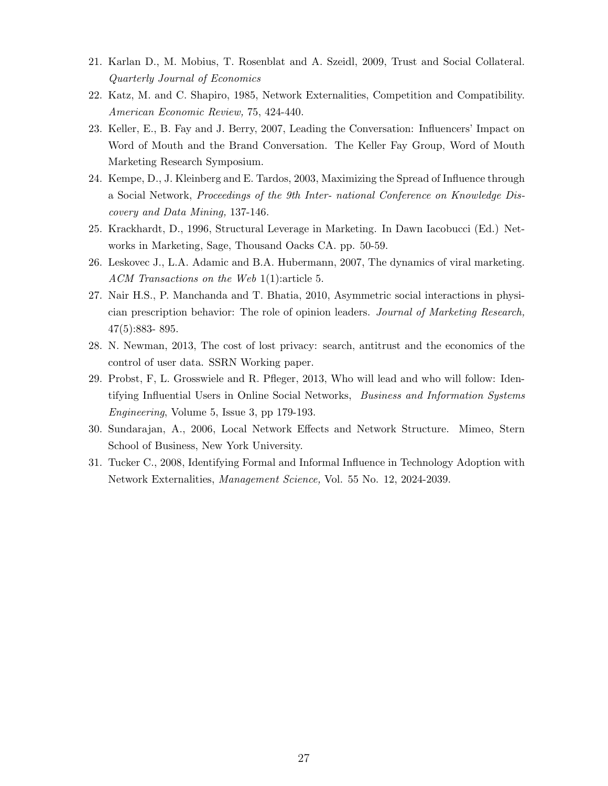- 21. Karlan D., M. Mobius, T. Rosenblat and A. Szeidl, 2009, Trust and Social Collateral. Quarterly Journal of Economics
- 22. Katz, M. and C. Shapiro, 1985, Network Externalities, Competition and Compatibility. American Economic Review, 75, 424-440.
- 23. Keller, E., B. Fay and J. Berry, 2007, Leading the Conversation: Influencers' Impact on Word of Mouth and the Brand Conversation. The Keller Fay Group, Word of Mouth Marketing Research Symposium.
- 24. Kempe, D., J. Kleinberg and E. Tardos, 2003, Maximizing the Spread of Influence through a Social Network, Proceedings of the 9th Inter- national Conference on Knowledge Discovery and Data Mining, 137-146.
- 25. Krackhardt, D., 1996, Structural Leverage in Marketing. In Dawn Iacobucci (Ed.) Networks in Marketing, Sage, Thousand Oacks CA. pp. 50-59.
- 26. Leskovec J., L.A. Adamic and B.A. Hubermann, 2007, The dynamics of viral marketing. ACM Transactions on the Web 1(1):article 5.
- 27. Nair H.S., P. Manchanda and T. Bhatia, 2010, Asymmetric social interactions in physician prescription behavior: The role of opinion leaders. Journal of Marketing Research, 47(5):883- 895.
- 28. N. Newman, 2013, The cost of lost privacy: search, antitrust and the economics of the control of user data. SSRN Working paper.
- 29. Probst, F, L. Grosswiele and R. Pfleger, 2013, Who will lead and who will follow: Identifying Influential Users in Online Social Networks, Business and Information Systems Engineering, Volume 5, Issue 3, pp 179-193.
- 30. Sundarajan, A., 2006, Local Network Effects and Network Structure. Mimeo, Stern School of Business, New York University.
- 31. Tucker C., 2008, Identifying Formal and Informal Influence in Technology Adoption with Network Externalities, Management Science, Vol. 55 No. 12, 2024-2039.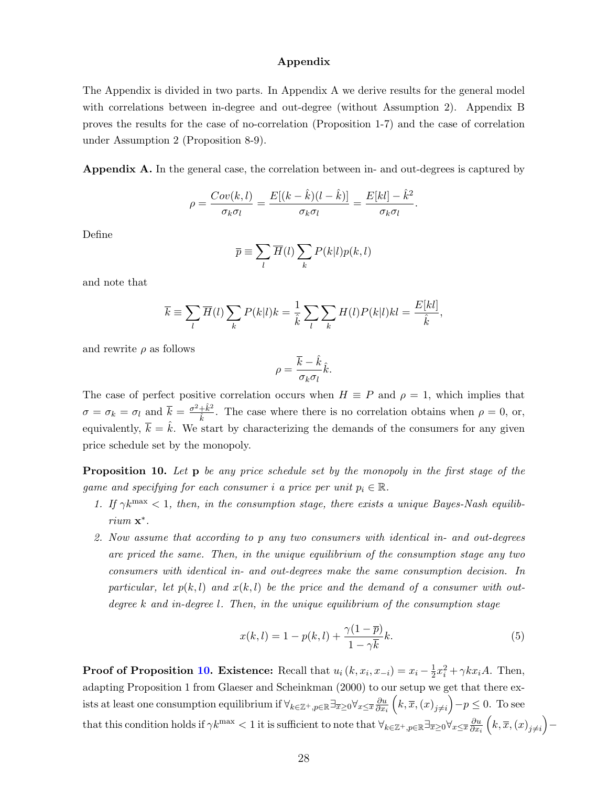#### Appendix

The Appendix is divided in two parts. In Appendix A we derive results for the general model with correlations between in-degree and out-degree (without Assumption 2). Appendix B proves the results for the case of no-correlation (Proposition 1-7) and the case of correlation under Assumption 2 (Proposition 8-9).

Appendix A. In the general case, the correlation between in- and out-degrees is captured by

$$
\rho = \frac{Cov(k,l)}{\sigma_k \sigma_l} = \frac{E[(k-\hat{k})(l-\hat{k})]}{\sigma_k \sigma_l} = \frac{E[kl] - \hat{k}^2}{\sigma_k \sigma_l}.
$$

Define

$$
\overline{p} \equiv \sum_l \overline{H}(l) \sum_k P(k|l) p(k,l)
$$

and note that

$$
\overline{k} \equiv \sum_{l} \overline{H}(l) \sum_{k} P(k|l)k = \frac{1}{\hat{k}} \sum_{l} \sum_{k} H(l) P(k|l)kl = \frac{E[kl]}{\hat{k}},
$$

and rewrite  $\rho$  as follows

$$
\rho = \frac{\overline{k} - \hat{k}}{\sigma_k \sigma_l} \hat{k}.
$$

The case of perfect positive correlation occurs when  $H \equiv P$  and  $\rho = 1$ , which implies that  $\sigma = \sigma_k = \sigma_l$  and  $\overline{k} = \frac{\sigma^2 + \hat{k}^2}{\hat{k}}$  $\frac{+k^2}{k}$ . The case where there is no correlation obtains when  $\rho = 0$ , or, equivalently,  $\overline{k} = \hat{k}$ . We start by characterizing the demands of the consumers for any given price schedule set by the monopoly.

<span id="page-28-0"></span>**Proposition 10.** Let **p** be any price schedule set by the monopoly in the first stage of the game and specifying for each consumer i a price per unit  $p_i \in \mathbb{R}$ .

- 1. If  $\gamma k^{\text{max}} < 1$ , then, in the consumption stage, there exists a unique Bayes-Nash equilibrium **x**<sup>\*</sup>.
- 2. Now assume that according to p any two consumers with identical in- and out-degrees are priced the same. Then, in the unique equilibrium of the consumption stage any two consumers with identical in- and out-degrees make the same consumption decision. In particular, let  $p(k, l)$  and  $x(k, l)$  be the price and the demand of a consumer with outdegree k and in-degree l. Then, in the unique equilibrium of the consumption stage

$$
x(k,l) = 1 - p(k,l) + \frac{\gamma(1-\overline{p})}{1-\gamma\overline{k}}k.
$$
\n
$$
(5)
$$

**Proof of Proposition [10.](#page-28-0) Existence:** Recall that  $u_i(k, x_i, x_{-i}) = x_i - \frac{1}{2}$  $\frac{1}{2}x_i^2 + \gamma kx_iA$ . Then, adapting Proposition 1 from Glaeser and Scheinkman (2000) to our setup we get that there exists at least one consumption equilibrium if  $\forall_{k\in\mathbb{Z}^+,p\in\mathbb{R}}\exists_{\overline{x}\geq 0}\forall_{x\leq \overline{x}}\frac{\partial u}{\partial x}$  $\overline{\partial x_i}$  $(k, \overline{x}, (x)_{j \neq i}) - p \leq 0$ . To see that this condition holds if  $\gamma k^{\max} < 1$  it is sufficient to note that  $\forall_{k \in \mathbb{Z}^+, p \in \mathbb{R}} \exists_{\overline{x} \geq 0} \forall_{x \leq \overline{x}} \frac{\partial u}{\partial x}$  $\overline{\partial x_i}$  $(k,\overline{x},(x)_{j\neq i})-$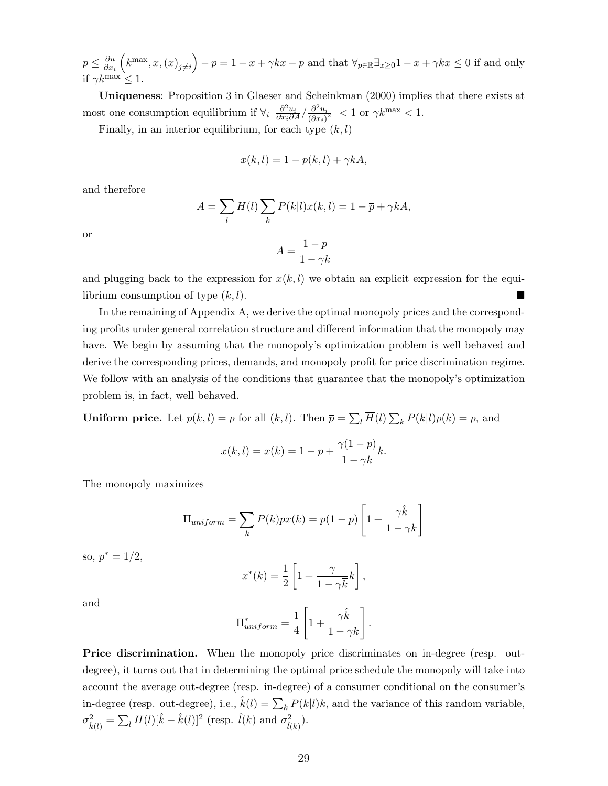$p \leq \frac{\partial u}{\partial x}$  $\overline{\partial x_i}$  $\left(k^{\max},\overline{x},\left(\overline{x}\right)_{j\neq i}\right)-p=1-\overline{x}+\gamma k\overline{x}-p$  and that  $\forall_{p\in\mathbb{R}}\exists_{\overline{x}\geq 0}1-\overline{x}+\gamma k\overline{x}\leq 0$  if and only if  $\gamma k^{\text{max}} < 1$ .

Uniqueness: Proposition 3 in Glaeser and Scheinkman (2000) implies that there exists at most one consumption equilibrium if  $\forall i$  $\frac{\partial^2 u_i}{\partial x_i \partial A}/\frac{\partial^2 u_i}{(\partial x_i)}$  $\left| \frac{\partial^2 u_i}{(\partial x_i)^2} \right|$  < 1 or  $\gamma k^{\max}$  < 1.

Finally, in an interior equilibrium, for each type  $(k, l)$ 

$$
x(k,l) = 1 - p(k,l) + \gamma kA,
$$

and therefore

$$
A = \sum_{l} \overline{H}(l) \sum_{k} P(k|l) x(k, l) = 1 - \overline{p} + \gamma \overline{k} A,
$$

or

$$
A = \frac{1 - \overline{p}}{1 - \gamma \overline{k}}
$$

and plugging back to the expression for  $x(k, l)$  we obtain an explicit expression for the equilibrium consumption of type  $(k, l)$ .

In the remaining of Appendix A, we derive the optimal monopoly prices and the corresponding profits under general correlation structure and different information that the monopoly may have. We begin by assuming that the monopoly's optimization problem is well behaved and derive the corresponding prices, demands, and monopoly profit for price discrimination regime. We follow with an analysis of the conditions that guarantee that the monopoly's optimization problem is, in fact, well behaved.

**Uniform price.** Let  $p(k, l) = p$  for all  $(k, l)$ . Then  $\overline{p} = \sum_{l} \overline{H}(l) \sum_{k} P(k|l)p(k) = p$ , and

$$
x(k, l) = x(k) = 1 - p + \frac{\gamma(1-p)}{1 - \gamma \overline{k}}k.
$$

The monopoly maximizes

$$
\Pi_{uniform} = \sum_{k} P(k)px(k) = p(1-p)\left[1 + \frac{\gamma \hat{k}}{1 - \gamma \overline{k}}\right]
$$

so,  $p^* = 1/2$ ,

$$
x^*(k) = \frac{1}{2} \left[ 1 + \frac{\gamma}{1 - \gamma \overline{k}} k \right],
$$

and

$$
\Pi^*_{uniform} = \frac{1}{4} \left[ 1 + \frac{\gamma \hat{k}}{1 - \gamma \overline{k}} \right].
$$

**Price discrimination.** When the monopoly price discriminates on in-degree (resp. outdegree), it turns out that in determining the optimal price schedule the monopoly will take into account the average out-degree (resp. in-degree) of a consumer conditional on the consumer's in-degree (resp. out-degree), i.e.,  $\hat{k}(l) = \sum_{k} P(k|l)k$ , and the variance of this random variable,  $\sigma_{\hat{k}(l)}^2 = \sum_l H(l)[\hat{k} - \hat{k}(l)]^2$  (resp.  $\hat{l}(k)$  and  $\sigma_{\hat{l}(k)}^2$ ).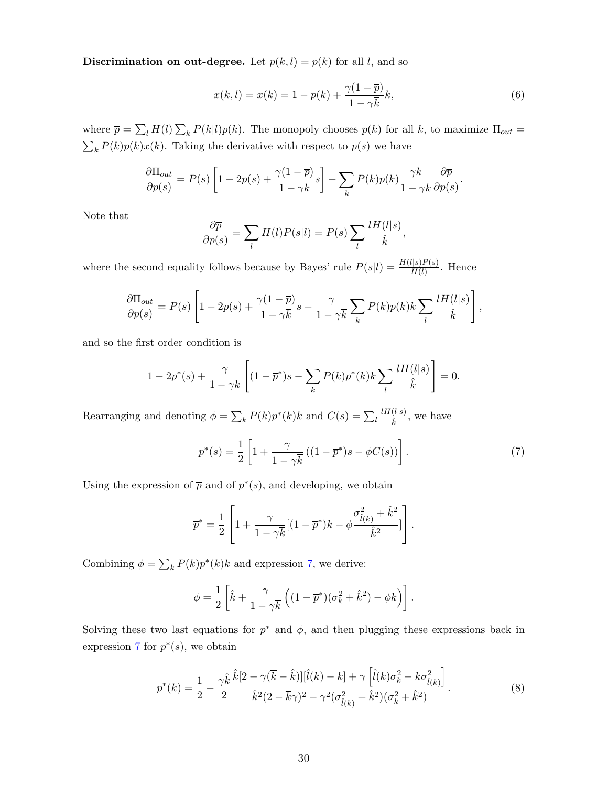**Discrimination on out-degree.** Let  $p(k, l) = p(k)$  for all l, and so

$$
x(k,l) = x(k) = 1 - p(k) + \frac{\gamma(1 - \bar{p})}{1 - \gamma \bar{k}}k,
$$
\n(6)

where  $\bar{p} = \sum_{l} \bar{H}(l) \sum_{k} P(k|l)p(k)$ . The monopoly chooses  $p(k)$  for all k, to maximize  $\Pi_{out}$  $\sum_{k} P(k)p(k)x(k)$ . Taking the derivative with respect to  $p(s)$  we have

$$
\frac{\partial \Pi_{out}}{\partial p(s)} = P(s) \left[ 1 - 2p(s) + \frac{\gamma (1 - \overline{p})}{1 - \gamma \overline{k}} s \right] - \sum_{k} P(k) p(k) \frac{\gamma k}{1 - \gamma \overline{k}} \frac{\partial \overline{p}}{\partial p(s)}.
$$

Note that

$$
\frac{\partial \overline{p}}{\partial p(s)} = \sum_{l} \overline{H}(l)P(s|l) = P(s) \sum_{l} \frac{lH(l|s)}{\hat{k}},
$$

where the second equality follows because by Bayes' rule  $P(s|l) = \frac{H(l|s)P(s)}{H(l)}$ . Hence

$$
\frac{\partial \Pi_{out}}{\partial p(s)} = P(s) \left[ 1 - 2p(s) + \frac{\gamma (1 - \overline{p})}{1 - \gamma \overline{k}} s - \frac{\gamma}{1 - \gamma \overline{k}} \sum_{k} P(k) p(k) k \sum_{l} \frac{l H(l|s)}{\hat{k}} \right],
$$

and so the first order condition is

$$
1 - 2p^*(s) + \frac{\gamma}{1 - \gamma \overline{k}} \left[ (1 - \overline{p}^*)s - \sum_k P(k)p^*(k)k \sum_l \frac{lH(l|s)}{\hat{k}} \right] = 0.
$$

Rearranging and denoting  $\phi = \sum_{k} P(k) p^{*}(k) k$  and  $C(s) = \sum_{k} P(k) p^{*}(k)$  $lH(l|s)$  $\frac{(t|s)}{\hat{k}}$ , we have

<span id="page-30-0"></span>
$$
p^*(s) = \frac{1}{2} \left[ 1 + \frac{\gamma}{1 - \gamma \overline{k}} \left( (1 - \overline{p}^*)s - \phi C(s) \right) \right]. \tag{7}
$$

Using the expression of  $\bar{p}$  and of  $p^*(s)$ , and developing, we obtain

$$
\overline{p}^* = \frac{1}{2} \left[ 1 + \frac{\gamma}{1 - \gamma \overline{k}} [(1 - \overline{p}^*) \overline{k} - \phi \frac{\sigma_{\hat{l}(k)}^2 + \hat{k}^2}{\hat{k}^2}] \right].
$$

Combining  $\phi = \sum_k P(k) p^*(k) k$  and expression [7,](#page-30-0) we derive:

$$
\phi = \frac{1}{2} \left[ \hat{k} + \frac{\gamma}{1 - \gamma \overline{k}} \left( (1 - \overline{p}^*) (\sigma_k^2 + \hat{k}^2) - \phi \overline{k} \right) \right].
$$

Solving these two last equations for  $\bar{p}^*$  and  $\phi$ , and then plugging these expressions back in expression [7](#page-30-0) for  $p^*(s)$ , we obtain

<span id="page-30-1"></span>
$$
p^*(k) = \frac{1}{2} - \frac{\gamma \hat{k}}{2} \frac{\hat{k} [2 - \gamma(\bar{k} - \hat{k})] [\hat{l}(k) - k] + \gamma \left[ \hat{l}(k) \sigma_k^2 - k \sigma_{\hat{l}(k)}^2 \right]}{\hat{k}^2 (2 - \bar{k} \gamma)^2 - \gamma^2 (\sigma_{\hat{l}(k)}^2 + \hat{k}^2) (\sigma_k^2 + \hat{k}^2)}.
$$
\n(8)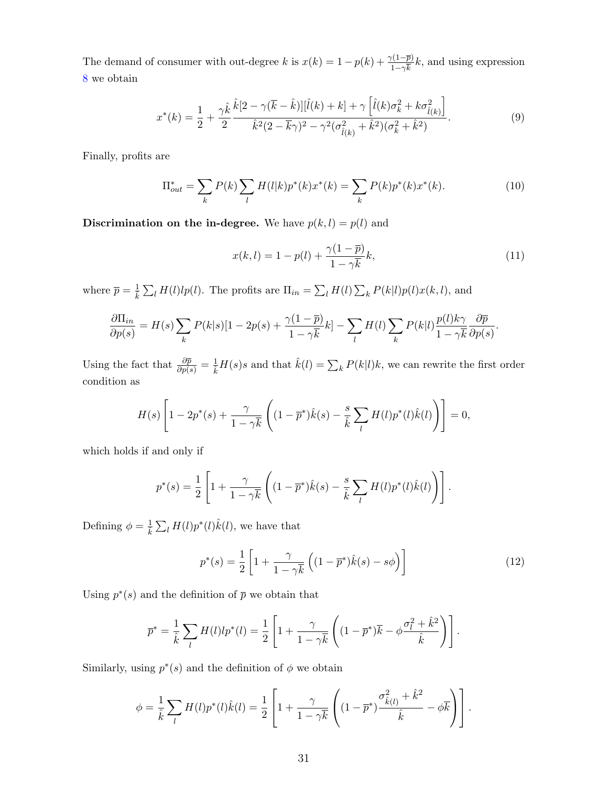The demand of consumer with out-degree k is  $x(k) = 1 - p(k) + \frac{\gamma(1-\bar{p})}{1-\gamma\bar{k}}k$ , and using expression [8](#page-30-1) we obtain

<span id="page-31-0"></span>
$$
x^*(k) = \frac{1}{2} + \frac{\gamma \hat{k}}{2} \frac{\hat{k}[2 - \gamma(\overline{k} - \hat{k})][\hat{l}(k) + k] + \gamma \left[\hat{l}(k)\sigma_k^2 + k\sigma_{\hat{l}(k)}^2\right]}{\hat{k}^2(2 - \overline{k}\gamma)^2 - \gamma^2(\sigma_{\hat{l}(k)}^2 + \hat{k}^2)(\sigma_k^2 + \hat{k}^2)}.
$$
\n(9)

Finally, profits are

$$
\Pi_{out}^* = \sum_k P(k) \sum_l H(l|k) p^*(k) x^*(k) = \sum_k P(k) p^*(k) x^*(k).
$$
 (10)

Discrimination on the in-degree. We have  $p(k, l) = p(l)$  and

$$
x(k,l) = 1 - p(l) + \frac{\gamma(1-\bar{p})}{1-\gamma\bar{k}}k,
$$
\n
$$
(11)
$$

where  $\bar{p} = \frac{1}{k} \sum_l H(l)lp(l)$ . The profits are  $\Pi_{in} = \sum_l H(l) \sum_k P(k|l)p(l)x(k,l)$ , and

$$
\frac{\partial \Pi_{in}}{\partial p(s)} = H(s) \sum_{k} P(k|s)[1 - 2p(s) + \frac{\gamma(1-\overline{p})}{1-\gamma\overline{k}}k] - \sum_{l} H(l) \sum_{k} P(k|l) \frac{p(l)k\gamma}{1-\gamma\overline{k}} \frac{\partial \overline{p}}{\partial p(s)}.
$$

Using the fact that  $\frac{\partial \bar{p}}{\partial p(s)} = \frac{1}{k}H(s)s$  and that  $\hat{k}(l) = \sum_{k} P(k|l)k$ , we can rewrite the first order condition as

$$
H(s)\left[1-2p^*(s)+\frac{\gamma}{1-\gamma\overline{k}}\left((1-\overline{p}^*)\hat{k}(s)-\frac{s}{\hat{k}}\sum_l H(l)p^*(l)\hat{k}(l)\right)\right]=0,
$$

which holds if and only if

$$
p^*(s) = \frac{1}{2} \left[ 1 + \frac{\gamma}{1 - \gamma \overline{k}} \left( (1 - \overline{p}^*) \hat{k}(s) - \frac{s}{\hat{k}} \sum_l H(l) p^*(l) \hat{k}(l) \right) \right].
$$

Defining  $\phi = \frac{1}{\hat{k}} \sum_l H(l) p^*(l) \hat{k}(l)$ , we have that

$$
p^*(s) = \frac{1}{2} \left[ 1 + \frac{\gamma}{1 - \gamma \overline{k}} \left( (1 - \overline{p}^*) \hat{k}(s) - s\phi \right) \right]
$$
(12)

Using  $p^*(s)$  and the definition of  $\bar{p}$  we obtain that

$$
\overline{p}^* = \frac{1}{\hat{k}} \sum_l H(l) l p^*(l) = \frac{1}{2} \left[ 1 + \frac{\gamma}{1 - \gamma \overline{k}} \left( (1 - \overline{p}^*) \overline{k} - \phi \frac{\sigma_l^2 + \hat{k}^2}{\hat{k}} \right) \right].
$$

Similarly, using  $p^*(s)$  and the definition of  $\phi$  we obtain

$$
\phi = \frac{1}{\hat{k}} \sum_{l} H(l) p^{*}(l) \hat{k}(l) = \frac{1}{2} \left[ 1 + \frac{\gamma}{1 - \gamma \overline{k}} \left( (1 - \overline{p}^{*}) \frac{\sigma_{\hat{k}(l)}^{2} + \hat{k}^{2}}{\hat{k}} - \phi \overline{k} \right) \right].
$$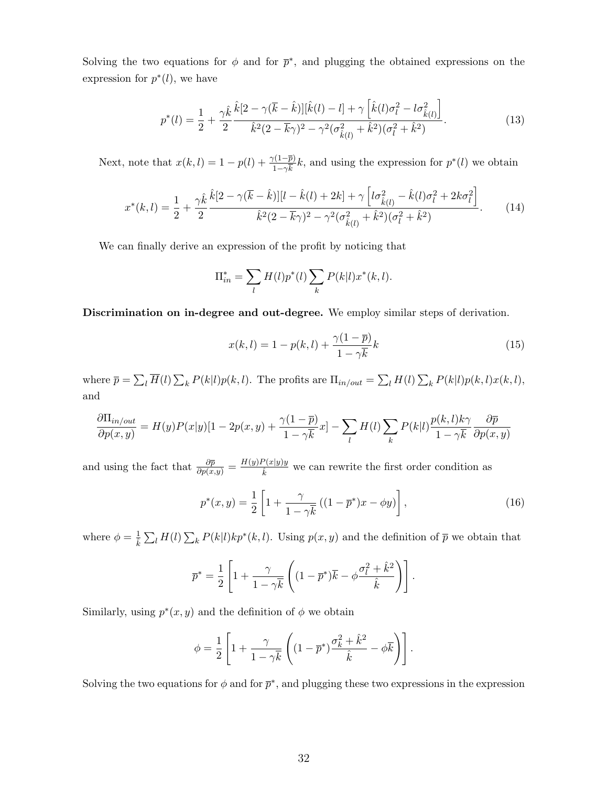Solving the two equations for  $\phi$  and for  $\bar{p}^*$ , and plugging the obtained expressions on the expression for  $p^*(l)$ , we have

<span id="page-32-0"></span>
$$
p^*(l) = \frac{1}{2} + \frac{\gamma \hat{k}}{2} \frac{\hat{k}[2 - \gamma(\overline{k} - \hat{k})][\hat{k}(l) - l] + \gamma\left[\hat{k}(l)\sigma_l^2 - l\sigma_{\hat{k}(l)}^2\right]}{\hat{k}^2(2 - \overline{k}\gamma)^2 - \gamma^2(\sigma_{\hat{k}(l)}^2 + \hat{k}^2)(\sigma_l^2 + \hat{k}^2)}.
$$
(13)

Next, note that  $x(k, l) = 1 - p(l) + \frac{\gamma(1-\bar{p})}{1-\gamma\bar{k}}k$ , and using the expression for  $p^*(l)$  we obtain

<span id="page-32-1"></span>
$$
x^*(k,l) = \frac{1}{2} + \frac{\gamma \hat{k}}{2} \frac{\hat{k}[2 - \gamma(\overline{k} - \hat{k})][l - \hat{k}(l) + 2k] + \gamma \left[ l\sigma_{\hat{k}(l)}^2 - \hat{k}(l)\sigma_l^2 + 2k\sigma_l^2 \right]}{\hat{k}^2(2 - \overline{k}\gamma)^2 - \gamma^2(\sigma_{\hat{k}(l)}^2 + \hat{k}^2)(\sigma_l^2 + \hat{k}^2)}.
$$
 (14)

We can finally derive an expression of the profit by noticing that

$$
\Pi_{in}^* = \sum_l H(l) p^*(l) \sum_k P(k|l) x^*(k, l).
$$

Discrimination on in-degree and out-degree. We employ similar steps of derivation.

$$
x(k,l) = 1 - p(k,l) + \frac{\gamma(1-\overline{p})}{1-\gamma\overline{k}}k\tag{15}
$$

where  $\bar{p} = \sum_{l} \overline{H}(l) \sum_{k} P(k|l)p(k,l)$ . The profits are  $\Pi_{in/out} = \sum_{l} H(l) \sum_{k} P(k|l)p(k,l)x(k,l)$ , and

$$
\frac{\partial \Pi_{in/out}}{\partial p(x,y)} = H(y)P(x|y)[1 - 2p(x,y) + \frac{\gamma(1-\overline{p})}{1-\gamma\overline{k}}x] - \sum_l H(l) \sum_k P(k|l) \frac{p(k,l)k\gamma}{1-\gamma\overline{k}} \frac{\partial \overline{p}}{\partial p(x,y)}
$$

and using the fact that  $\frac{\partial \bar{p}}{\partial p(x,y)} = \frac{H(y)P(x|y)y}{\hat{k}}$  we can rewrite the first order condition as

$$
p^*(x, y) = \frac{1}{2} \left[ 1 + \frac{\gamma}{1 - \gamma \overline{k}} \left( (1 - \overline{p}^*) x - \phi y \right) \right],
$$
 (16)

where  $\phi = \frac{1}{k} \sum_l H(l) \sum_k P(k|l)kp^*(k,l)$ . Using  $p(x, y)$  and the definition of  $\bar{p}$  we obtain that

$$
\overline{p}^* = \frac{1}{2} \left[ 1 + \frac{\gamma}{1 - \gamma \overline{k}} \left( (1 - \overline{p}^*) \overline{k} - \phi \frac{\sigma_l^2 + \hat{k}^2}{\hat{k}} \right) \right].
$$

Similarly, using  $p^*(x, y)$  and the definition of  $\phi$  we obtain

$$
\phi = \frac{1}{2} \left[ 1 + \frac{\gamma}{1 - \gamma \overline{k}} \left( (1 - \overline{p}^*) \frac{\sigma_k^2 + \hat{k}^2}{\hat{k}} - \phi \overline{k} \right) \right].
$$

Solving the two equations for  $\phi$  and for  $\bar{p}^*$ , and plugging these two expressions in the expression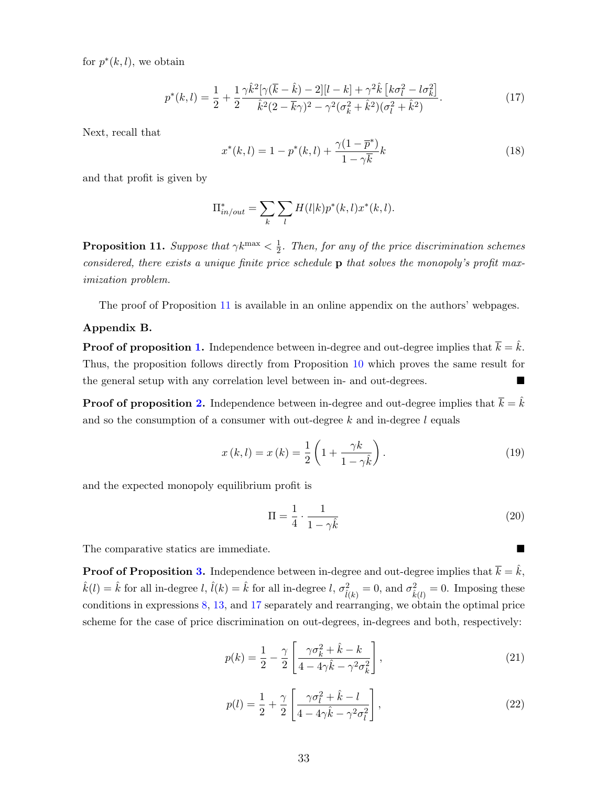for  $p^*(k, l)$ , we obtain

<span id="page-33-2"></span>
$$
p^*(k,l) = \frac{1}{2} + \frac{1}{2} \frac{\gamma \hat{k}^2 [\gamma(\bar{k} - \hat{k}) - 2][l - k] + \gamma^2 \hat{k} [k\sigma_l^2 - l\sigma_k^2]}{\hat{k}^2 (2 - \bar{k}\gamma)^2 - \gamma^2 (\sigma_k^2 + \hat{k}^2)(\sigma_l^2 + \hat{k}^2)}.
$$
(17)

Next, recall that

<span id="page-33-3"></span>
$$
x^*(k,l) = 1 - p^*(k,l) + \frac{\gamma(1 - \overline{p}^*)}{1 - \gamma \overline{k}}k
$$
\n(18)

and that profit is given by

$$
\Pi_{in/out}^* = \sum_k \sum_l H(l|k) p^*(k,l) x^*(k,l).
$$

<span id="page-33-0"></span>**Proposition 11.** Suppose that  $\gamma k^{\max} < \frac{1}{2}$  $\frac{1}{2}$ . Then, for any of the price discrimination schemes considered, there exists a unique finite price schedule  $\bf{p}$  that solves the monopoly's profit maximization problem.

The proof of Proposition [11](#page-33-0) is available in an online appendix on the authors' webpages.

#### Appendix B.

**Proof of proposition [1.](#page-7-1)** Independence between in-degree and out-degree implies that  $\overline{k} = \hat{k}$ . Thus, the proposition follows directly from Proposition [10](#page-28-0) which proves the same result for the general setup with any correlation level between in- and out-degrees.

**Proof of proposition [2.](#page-10-1)** Independence between in-degree and out-degree implies that  $\overline{k} = \hat{k}$ and so the consumption of a consumer with out-degree  $k$  and in-degree  $l$  equals

$$
x(k,l) = x(k) = \frac{1}{2} \left( 1 + \frac{\gamma k}{1 - \gamma \hat{k}} \right). \tag{19}
$$

and the expected monopoly equilibrium profit is

$$
\Pi = \frac{1}{4} \cdot \frac{1}{1 - \gamma \hat{k}}\tag{20}
$$

The comparative statics are immediate.

**Proof of Proposition [3.](#page-11-1)** Independence between in-degree and out-degree implies that  $\overline{k} = \hat{k}$ ,  $\hat{k}(l) = \hat{k}$  for all in-degree l,  $\hat{l}(k) = \hat{k}$  for all in-degree l,  $\sigma_{\hat{l}(k)}^2 = 0$ , and  $\sigma_{\hat{k}(l)}^2 = 0$ . Imposing these conditions in expressions [8,](#page-30-1) [13,](#page-32-0) and [17](#page-33-2) separately and rearranging, we obtain the optimal price scheme for the case of price discrimination on out-degrees, in-degrees and both, respectively:

<span id="page-33-4"></span>
$$
p(k) = \frac{1}{2} - \frac{\gamma}{2} \left[ \frac{\gamma \sigma_k^2 + \hat{k} - k}{4 - 4\gamma \hat{k} - \gamma^2 \sigma_k^2} \right],
$$
\n(21)

<span id="page-33-1"></span>
$$
p(l) = \frac{1}{2} + \frac{\gamma}{2} \left[ \frac{\gamma \sigma_l^2 + \hat{k} - l}{4 - 4\gamma \hat{k} - \gamma^2 \sigma_l^2} \right],
$$
\n(22)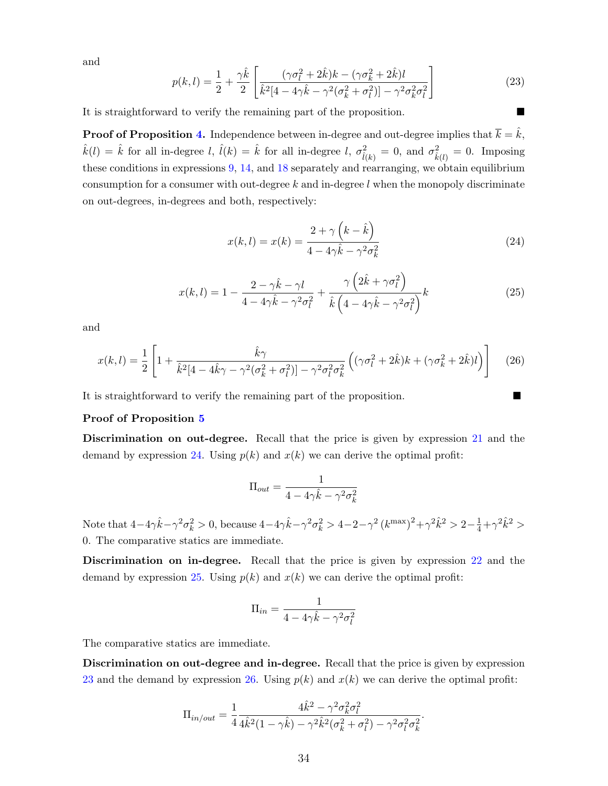and

<span id="page-34-0"></span>
$$
p(k,l) = \frac{1}{2} + \frac{\gamma \hat{k}}{2} \left[ \frac{(\gamma \sigma_l^2 + 2\hat{k})k - (\gamma \sigma_k^2 + 2\hat{k})l}{\hat{k}^2 [4 - 4\gamma \hat{k} - \gamma^2 (\sigma_k^2 + \sigma_l^2)] - \gamma^2 \sigma_k^2 \sigma_l^2} \right]
$$
(23)

It is straightforward to verify the remaining part of the proposition.

**Proof of Proposition [4.](#page-12-0)** Independence between in-degree and out-degree implies that  $\overline{k} = \hat{k}$ ,  $\hat{k}(l) = \hat{k}$  for all in-degree l,  $\hat{l}(k) = \hat{k}$  for all in-degree l,  $\sigma_{\hat{l}(k)}^2 = 0$ , and  $\sigma_{\hat{k}(l)}^2 = 0$ . Imposing these conditions in expressions [9,](#page-31-0) [14,](#page-32-1) and [18](#page-33-3) separately and rearranging, we obtain equilibrium consumption for a consumer with out-degree  $k$  and in-degree  $l$  when the monopoly discriminate on out-degrees, in-degrees and both, respectively:

<span id="page-34-1"></span>
$$
x(k,l) = x(k) = \frac{2 + \gamma \left(k - \hat{k}\right)}{4 - 4\gamma \hat{k} - \gamma^2 \sigma_k^2}
$$
\n
$$
(24)
$$

<span id="page-34-2"></span>
$$
x(k,l) = 1 - \frac{2 - \gamma \hat{k} - \gamma l}{4 - 4\gamma \hat{k} - \gamma^2 \sigma_l^2} + \frac{\gamma \left(2\hat{k} + \gamma \sigma_l^2\right)}{\hat{k} \left(4 - 4\gamma \hat{k} - \gamma^2 \sigma_l^2\right)} k \tag{25}
$$

and

<span id="page-34-3"></span>
$$
x(k,l) = \frac{1}{2} \left[ 1 + \frac{\hat{k}\gamma}{\hat{k}^2 [4 - 4\hat{k}\gamma - \gamma^2 (\sigma_k^2 + \sigma_l^2)] - \gamma^2 \sigma_l^2 \sigma_k^2} \left( (\gamma \sigma_l^2 + 2\hat{k})k + (\gamma \sigma_k^2 + 2\hat{k})l \right) \right]
$$
(26)

It is straightforward to verify the remaining part of the proposition.

#### Proof of Proposition [5](#page-14-0)

Discrimination on out-degree. Recall that the price is given by expression [21](#page-33-4) and the demand by expression [24.](#page-34-1) Using  $p(k)$  and  $x(k)$  we can derive the optimal profit:

$$
\Pi_{out} = \frac{1}{4 - 4\gamma \hat{k} - \gamma^2 \sigma_k^2}
$$

Note that  $4-4\gamma \hat{k}-\gamma^2 \sigma_k^2 > 0$ , because  $4-4\gamma \hat{k}-\gamma^2 \sigma_k^2 > 4-2-\gamma^2 (k^{\text{max}})^2+\gamma^2 \hat{k}^2 > 2-\frac{1}{4}+\gamma^2 \hat{k}^2 >$ 0. The comparative statics are immediate.

Discrimination on in-degree. Recall that the price is given by expression [22](#page-33-1) and the demand by expression [25.](#page-34-2) Using  $p(k)$  and  $x(k)$  we can derive the optimal profit:

$$
\Pi_{in} = \frac{1}{4 - 4\gamma \hat{k} - \gamma^2 \sigma_l^2}
$$

The comparative statics are immediate.

Discrimination on out-degree and in-degree. Recall that the price is given by expression [23](#page-34-0) and the demand by expression [26.](#page-34-3) Using  $p(k)$  and  $x(k)$  we can derive the optimal profit:

$$
\Pi_{in/out} = \frac{1}{4} \frac{4\hat{k}^2 - \gamma^2 \sigma_k^2 \sigma_l^2}{4\hat{k}^2 (1 - \gamma \hat{k}) - \gamma^2 \hat{k}^2 (\sigma_k^2 + \sigma_l^2) - \gamma^2 \sigma_l^2 \sigma_k^2}.
$$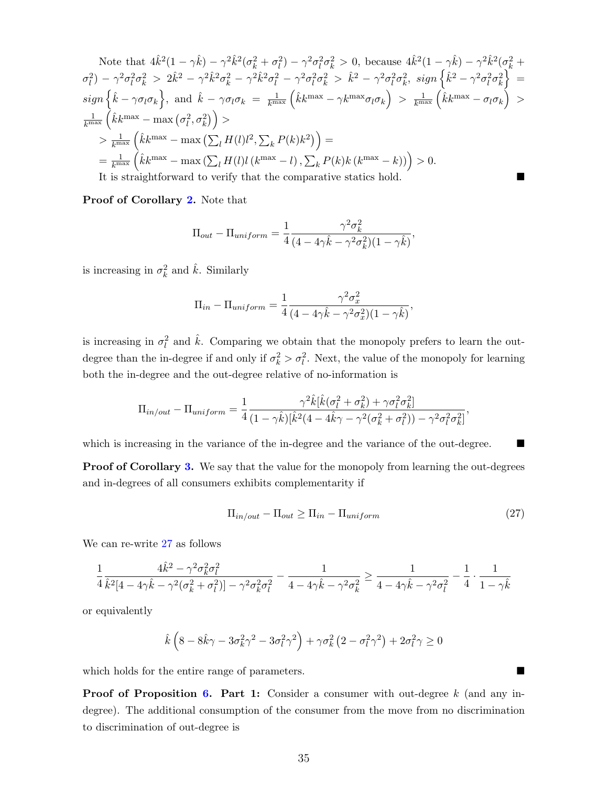Note that 
$$
4\hat{k}^2(1-\gamma\hat{k}) - \gamma^2\hat{k}^2(\sigma_k^2 + \sigma_l^2) - \gamma^2\sigma_l^2\sigma_k^2 > 0
$$
, because  $4\hat{k}^2(1-\gamma\hat{k}) - \gamma^2\hat{k}^2(\sigma_k^2 + \sigma_l^2) - \gamma^2\sigma_l^2\sigma_k^2 > 2\hat{k}^2 - \gamma^2\hat{k}^2\sigma_k^2 - \gamma^2\hat{k}^2\sigma_l^2 - \gamma^2\sigma_l^2\sigma_k^2 > \hat{k}^2 - \gamma^2\sigma_l^2\sigma_k^2$ ,  $sign\left\{\hat{k}^2 - \gamma^2\sigma_l^2\sigma_k^2\right\} =$   
\n $sign\left\{\hat{k} - \gamma\sigma_l\sigma_k\right\}$ , and  $\hat{k} - \gamma\sigma_l\sigma_k = \frac{1}{k^{\max}}\left(\hat{k}k^{\max} - \gamma k^{\max}\sigma_l\sigma_k\right) > \frac{1}{k^{\max}}\left(\hat{k}k^{\max} - \sigma_l\sigma_k\right) >$   
\n $\frac{1}{k^{\max}}\left(\hat{k}k^{\max} - \max\left(\sigma_l^2, \sigma_k^2\right)\right) >$   
\n $> \frac{1}{k^{\max}}\left(\hat{k}k^{\max} - \max\left(\sum_l H(l)l^2, \sum_k P(k)k^2\right)\right) =$   
\n $= \frac{1}{k^{\max}}\left(\hat{k}k^{\max} - \max\left(\sum_l H(l)l(k^{\max} - l), \sum_k P(k)k(k^{\max} - k)\right)\right) > 0$ .  
\nIt is straightforward to verify that the comparative statistics hold.

Proof of Corollary [2.](#page-15-0) Note that

$$
\Pi_{out} - \Pi_{uniform} = \frac{1}{4} \frac{\gamma^2 \sigma_k^2}{(4 - 4\gamma \hat{k} - \gamma^2 \sigma_k^2)(1 - \gamma \hat{k})},
$$

is increasing in  $\sigma_k^2$  and  $\hat{k}$ . Similarly

$$
\Pi_{in} - \Pi_{uniform} = \frac{1}{4} \frac{\gamma^2 \sigma_x^2}{(4 - 4\gamma \hat{k} - \gamma^2 \sigma_x^2)(1 - \gamma \hat{k})},
$$

is increasing in  $\sigma_l^2$  and  $\hat{k}$ . Comparing we obtain that the monopoly prefers to learn the outdegree than the in-degree if and only if  $\sigma_k^2 > \sigma_l^2$ . Next, the value of the monopoly for learning both the in-degree and the out-degree relative of no-information is

$$
\Pi_{in/out} - \Pi_{uniform} = \frac{1}{4} \frac{\gamma^2 \hat{k} [\hat{k} (\sigma_l^2 + \sigma_k^2) + \gamma \sigma_l^2 \sigma_k^2]}{(1 - \gamma \hat{k}) [\hat{k}^2 (4 - 4\hat{k}\gamma - \gamma^2 (\sigma_k^2 + \sigma_l^2)) - \gamma^2 \sigma_l^2 \sigma_k^2]}
$$

which is increasing in the variance of the in-degree and the variance of the out-degree.

**Proof of Corollary [3.](#page-16-0)** We say that the value for the monopoly from learning the out-degrees and in-degrees of all consumers exhibits complementarity if

<span id="page-35-0"></span>
$$
\Pi_{in/out} - \Pi_{out} \ge \Pi_{in} - \Pi_{uniform} \tag{27}
$$

,

We can re-write [27](#page-35-0) as follows

$$
\frac{1}{4}\frac{4\hat{k}^2-\gamma^2\sigma_k^2\sigma_l^2}{\hat{k}^2[4-4\gamma\hat{k}-\gamma^2(\sigma_k^2+\sigma_l^2)]-\gamma^2\sigma_k^2\sigma_l^2}-\frac{1}{4-4\gamma\hat{k}-\gamma^2\sigma_k^2}\geq \frac{1}{4-4\gamma\hat{k}-\gamma^2\sigma_l^2}-\frac{1}{4}\cdot\frac{1}{1-\gamma\hat{k}}
$$

or equivalently

$$
\hat{k}\left(8-8\hat{k}\gamma-3\sigma_k^2\gamma^2-3\sigma_l^2\gamma^2\right)+\gamma\sigma_k^2\left(2-\sigma_l^2\gamma^2\right)+2\sigma_l^2\gamma\geq 0
$$

which holds for the entire range of parameters.

**Proof of Proposition [6.](#page-17-0) Part 1:** Consider a consumer with out-degree k (and any indegree). The additional consumption of the consumer from the move from no discrimination to discrimination of out-degree is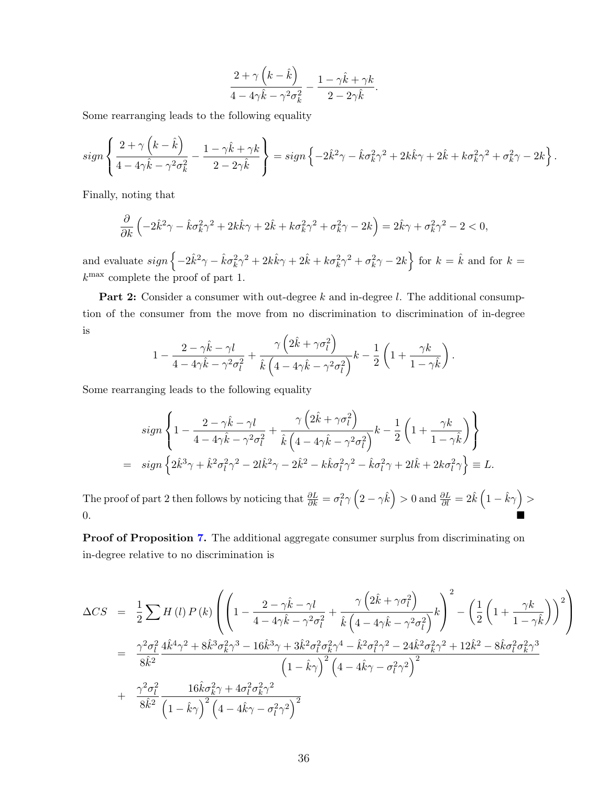$$
\frac{2+\gamma\left(k-\hat{k}\right)}{4-4\gamma\hat{k}-\gamma^2\sigma_k^2}-\frac{1-\gamma\hat{k}+\gamma k}{2-2\gamma\hat{k}}.
$$

Some rearranging leads to the following equality

$$
sign\left\{\frac{2+\gamma\left(k-\hat{k}\right)}{4-4\gamma\hat{k}-\gamma^2\sigma_k^2}-\frac{1-\gamma\hat{k}+\gamma k}{2-2\gamma\hat{k}}\right\} = sign\left\{-2\hat{k}^2\gamma-\hat{k}\sigma_k^2\gamma^2+2k\hat{k}\gamma+2\hat{k}+k\sigma_k^2\gamma^2+\sigma_k^2\gamma-2k\right\}.
$$

Finally, noting that

$$
\frac{\partial}{\partial k} \left( -2\hat{k}^2 \gamma - \hat{k} \sigma_k^2 \gamma^2 + 2k \hat{k} \gamma + 2\hat{k} + k \sigma_k^2 \gamma^2 + \sigma_k^2 \gamma - 2k \right) = 2\hat{k} \gamma + \sigma_k^2 \gamma^2 - 2 < 0,
$$

and evaluate  $sign\left\{-2\hat{k}^2\gamma-\hat{k}\sigma_k^2\gamma^2+2k\hat{k}\gamma+2\hat{k}+k\sigma_k^2\gamma^2+\sigma_k^2\gamma-2k\right\}$  for  $k=\hat{k}$  and for  $k=$ k max complete the proof of part 1.

**Part 2:** Consider a consumer with out-degree k and in-degree l. The additional consumption of the consumer from the move from no discrimination to discrimination of in-degree is  $\overline{ }$ 

$$
1 - \frac{2 - \gamma \hat{k} - \gamma l}{4 - 4\gamma \hat{k} - \gamma^2 \sigma_l^2} + \frac{\gamma \left(2\hat{k} + \gamma \sigma_l^2\right)}{\hat{k} \left(4 - 4\gamma \hat{k} - \gamma^2 \sigma_l^2\right)} k - \frac{1}{2} \left(1 + \frac{\gamma k}{1 - \gamma \hat{k}}\right).
$$

Some rearranging leads to the following equality

$$
sign\left\{1-\frac{2-\gamma\hat{k}-\gamma l}{4-4\gamma\hat{k}-\gamma^2\sigma_l^2}+\frac{\gamma\left(2\hat{k}+\gamma\sigma_l^2\right)}{\hat{k}\left(4-4\gamma\hat{k}-\gamma^2\sigma_l^2\right)}k-\frac{1}{2}\left(1+\frac{\gamma k}{1-\gamma\hat{k}}\right)\right\}
$$
  
= 
$$
sign\left\{2\hat{k}^3\gamma+\hat{k}^2\sigma_l^2\gamma^2-2l\hat{k}^2\gamma-2\hat{k}^2-k\hat{k}\sigma_l^2\gamma^2-\hat{k}\sigma_l^2\gamma+2l\hat{k}+2k\sigma_l^2\gamma\right\}\equiv L.
$$

The proof of part 2 then follows by noticing that  $\frac{\partial L}{\partial k} = \sigma_l^2 \gamma \left(2 - \gamma \hat{k}\right) > 0$  and  $\frac{\partial L}{\partial l} = 2 \hat{k} \left(1 - \hat{k} \gamma\right) > 0$  $\sim$  0.

Proof of Proposition [7.](#page-17-1) The additional aggregate consumer surplus from discriminating on in-degree relative to no discrimination is

$$
\Delta CS = \frac{1}{2} \sum H(l) P(k) \left( \left( 1 - \frac{2 - \gamma \hat{k} - \gamma l}{4 - 4\gamma \hat{k} - \gamma^2 \sigma_l^2} + \frac{\gamma \left( 2\hat{k} + \gamma \sigma_l^2 \right)}{\hat{k} \left( 4 - 4\gamma \hat{k} - \gamma^2 \sigma_l^2 \right)} \right)^2 - \left( \frac{1}{2} \left( 1 + \frac{\gamma k}{1 - \gamma \hat{k}} \right) \right)^2 \right)
$$
  
\n
$$
= \frac{\gamma^2 \sigma_l^2}{8\hat{k}^2} \frac{4\hat{k}^4 \gamma^2 + 8\hat{k}^3 \sigma_k^2 \gamma^3 - 16\hat{k}^3 \gamma + 3\hat{k}^2 \sigma_l^2 \sigma_k^2 \gamma^4 - \hat{k}^2 \sigma_l^2 \gamma^2 - 24\hat{k}^2 \sigma_k^2 \gamma^2 + 12\hat{k}^2 - 8\hat{k} \sigma_l^2 \sigma_k^2 \gamma^3}{\left( 1 - \hat{k} \gamma \right)^2 \left( 4 - 4\hat{k} \gamma - \sigma_l^2 \gamma^2 \right)^2} + \frac{\gamma^2 \sigma_l^2}{8\hat{k}^2} \frac{16\hat{k} \sigma_k^2 \gamma + 4\sigma_l^2 \sigma_k^2 \gamma^2}{\left( 1 - \hat{k} \gamma \right)^2 \left( 4 - 4\hat{k} \gamma - \sigma_l^2 \gamma^2 \right)^2}
$$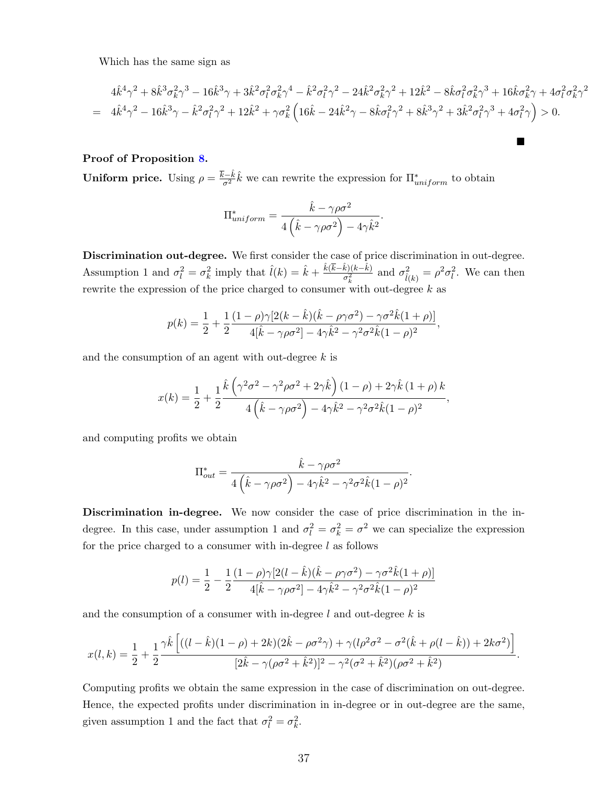Which has the same sign as

$$
4\hat{k}^{4}\gamma^{2} + 8\hat{k}^{3}\sigma_{k}^{2}\gamma^{3} - 16\hat{k}^{3}\gamma + 3\hat{k}^{2}\sigma_{l}^{2}\sigma_{k}^{2}\gamma^{4} - \hat{k}^{2}\sigma_{l}^{2}\gamma^{2} - 24\hat{k}^{2}\sigma_{k}^{2}\gamma^{2} + 12\hat{k}^{2} - 8\hat{k}\sigma_{l}^{2}\sigma_{k}^{2}\gamma^{3} + 16\hat{k}\sigma_{k}^{2}\gamma + 4\sigma_{l}^{2}\sigma_{k}^{2}\gamma^{2}
$$
  
= 
$$
4\hat{k}^{4}\gamma^{2} - 16\hat{k}^{3}\gamma - \hat{k}^{2}\sigma_{l}^{2}\gamma^{2} + 12\hat{k}^{2} + \gamma\sigma_{k}^{2}\left(16\hat{k} - 24\hat{k}^{2}\gamma - 8\hat{k}\sigma_{l}^{2}\gamma^{2} + 8\hat{k}^{3}\gamma^{2} + 3\hat{k}^{2}\sigma_{l}^{2}\gamma^{3} + 4\sigma_{l}^{2}\gamma\right) > 0.
$$

 $\blacksquare$ 

#### Proof of Proposition [8.](#page-19-2)

Uniform price. Using  $\rho = \frac{\bar{k}-\hat{k}}{\sigma^2}$  $\frac{\bar{c}-\hat{k}}{\sigma^2}\hat{k}$  we can rewrite the expression for  $\Pi^*_{uniform}$  to obtain

$$
\Pi_{uniform}^* = \frac{\hat{k} - \gamma \rho \sigma^2}{4(\hat{k} - \gamma \rho \sigma^2) - 4\gamma \hat{k}^2}.
$$

Discrimination out-degree. We first consider the case of price discrimination in out-degree. Assumption 1 and  $\sigma_l^2 = \sigma_k^2$  imply that  $\hat{l}(k) = \hat{k} + \frac{\hat{k}(\bar{k}-\hat{k})(k-\hat{k})}{\sigma_l^2}$  $\frac{k(k-k)}{\sigma_k^2}$  and  $\sigma_{\hat{l}(k)}^2 = \rho^2 \sigma_l^2$ . We can then rewrite the expression of the price charged to consumer with out-degree  $k$  as

$$
p(k) = \frac{1}{2} + \frac{1}{2} \frac{(1 - \rho)\gamma[2(k - \hat{k})(\hat{k} - \rho\gamma\sigma^2) - \gamma\sigma^2\hat{k}(1 + \rho)]}{4[\hat{k} - \gamma\rho\sigma^2] - 4\gamma\hat{k}^2 - \gamma^2\sigma^2\hat{k}(1 - \rho)^2},
$$

and the consumption of an agent with out-degree  $k$  is

$$
x(k) = \frac{1}{2} + \frac{1}{2} \frac{\hat{k} \left( \gamma^2 \sigma^2 - \gamma^2 \rho \sigma^2 + 2 \gamma \hat{k} \right) (1 - \rho) + 2 \gamma \hat{k} (1 + \rho) k}{4 \left( \hat{k} - \gamma \rho \sigma^2 \right) - 4 \gamma \hat{k}^2 - \gamma^2 \sigma^2 \hat{k} (1 - \rho)^2},
$$

and computing profits we obtain

$$
\Pi_{out}^* = \frac{\hat{k} - \gamma \rho \sigma^2}{4(\hat{k} - \gamma \rho \sigma^2) - 4\gamma \hat{k}^2 - \gamma^2 \sigma^2 \hat{k} (1 - \rho)^2}.
$$

Discrimination in-degree. We now consider the case of price discrimination in the indegree. In this case, under assumption 1 and  $\sigma_l^2 = \sigma_k^2 = \sigma^2$  we can specialize the expression for the price charged to a consumer with in-degree  $l$  as follows

$$
p(l) = \frac{1}{2} - \frac{1}{2} \frac{(1 - \rho)\gamma[2(l - \hat{k})(\hat{k} - \rho\gamma\sigma^2) - \gamma\sigma^2\hat{k}(1 + \rho)]}{4[\hat{k} - \gamma\rho\sigma^2] - 4\gamma\hat{k}^2 - \gamma^2\sigma^2\hat{k}(1 - \rho)^2}
$$

and the consumption of a consumer with in-degree  $l$  and out-degree  $k$  is

$$
x(l,k) = \frac{1}{2} + \frac{1}{2} \frac{\gamma \hat{k} \left[ ((l - \hat{k})(1 - \rho) + 2k)(2\hat{k} - \rho \sigma^2 \gamma) + \gamma(l\rho^2 \sigma^2 - \sigma^2(\hat{k} + \rho(l - \hat{k})) + 2k\sigma^2) \right]}{[2\hat{k} - \gamma(\rho \sigma^2 + \hat{k}^2)]^2 - \gamma^2(\sigma^2 + \hat{k}^2)(\rho \sigma^2 + \hat{k}^2)}.
$$

Computing profits we obtain the same expression in the case of discrimination on out-degree. Hence, the expected profits under discrimination in in-degree or in out-degree are the same, given assumption 1 and the fact that  $\sigma_l^2 = \sigma_k^2$ .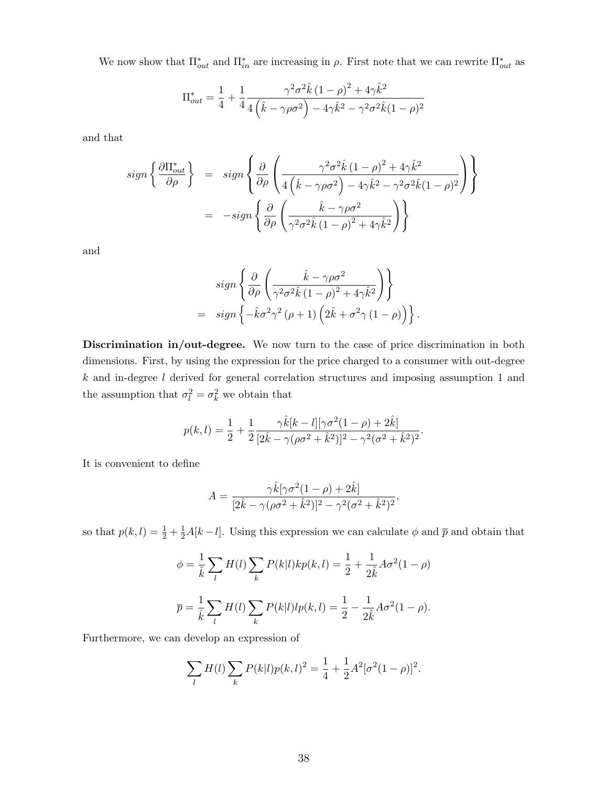We now show that  $\Pi_{out}^*$  and  $\Pi_{in}^*$  are increasing in  $\rho$ . First note that we can rewrite  $\Pi_{out}^*$  as

$$
\Pi_{out}^* = \frac{1}{4} + \frac{1}{4} \frac{\gamma^2 \sigma^2 \hat{k} (1 - \rho)^2 + 4 \gamma \hat{k}^2}{4 (\hat{k} - \gamma \rho \sigma^2) - 4 \gamma \hat{k}^2 - \gamma^2 \sigma^2 \hat{k} (1 - \rho)^2}
$$

and that

$$
sign\left\{\frac{\partial \Pi_{out}^*}{\partial \rho}\right\} = sign\left\{\frac{\partial}{\partial \rho} \left(\frac{\gamma^2 \sigma^2 \hat{k} (1-\rho)^2 + 4\gamma \hat{k}^2}{4(\hat{k} - \gamma \rho \sigma^2) - 4\gamma \hat{k}^2 - \gamma^2 \sigma^2 \hat{k} (1-\rho)^2}\right)\right\}
$$

$$
= -sign\left\{\frac{\partial}{\partial \rho} \left(\frac{\hat{k} - \gamma \rho \sigma^2}{\gamma^2 \sigma^2 \hat{k} (1-\rho)^2 + 4\gamma \hat{k}^2}\right)\right\}
$$

and

$$
sign\left\{\frac{\partial}{\partial \rho}\left(\frac{\hat{k}-\gamma\rho\sigma^2}{\gamma^2\sigma^2\hat{k}(1-\rho)^2+4\gamma\hat{k}^2}\right)\right\}
$$
  
= sign  $\left\{-\hat{k}\sigma^2\gamma^2(\rho+1)\left(2\hat{k}+\sigma^2\gamma(1-\rho)\right)\right\}$ .

Discrimination in/out-degree. We now turn to the case of price discrimination in both dimensions. First, by using the expression for the price charged to a consumer with out-degree  $k$  and in-degree  $l$  derived for general correlation structures and imposing assumption 1 and the assumption that  $\sigma_l^2 = \sigma_k^2$  we obtain that

$$
p(k,l) = \frac{1}{2} + \frac{1}{2} \frac{\gamma \hat{k}[k-l][\gamma \sigma^2 (1-\rho) + 2\hat{k}]}{[2\hat{k} - \gamma(\rho \sigma^2 + \hat{k}^2)]^2 - \gamma^2(\sigma^2 + \hat{k}^2)^2}.
$$

It is convenient to define

$$
A = \frac{\gamma \hat{k}[\gamma \sigma^2 (1 - \rho) + 2\hat{k}]}{[2\hat{k} - \gamma (\rho \sigma^2 + \hat{k}^2)]^2 - \gamma^2 (\sigma^2 + \hat{k}^2)^2},
$$

so that  $p(k, l) = \frac{1}{2} + \frac{1}{2}A[k - l]$ . Using this expression we can calculate  $\phi$  and  $\bar{p}$  and obtain that

$$
\phi = \frac{1}{\hat{k}} \sum_{l} H(l) \sum_{k} P(k|l) k p(k, l) = \frac{1}{2} + \frac{1}{2\hat{k}} A \sigma^{2} (1 - \rho)
$$

$$
\overline{p} = \frac{1}{\hat{k}} \sum_{l} H(l) \sum_{k} P(k|l) l p(k, l) = \frac{1}{2} - \frac{1}{2\hat{k}} A \sigma^{2} (1 - \rho).
$$

Furthermore, we can develop an expression of

$$
\sum_{l} H(l) \sum_{k} P(k|l) p(k,l)^{2} = \frac{1}{4} + \frac{1}{2} A^{2} [\sigma^{2} (1 - \rho)]^{2}.
$$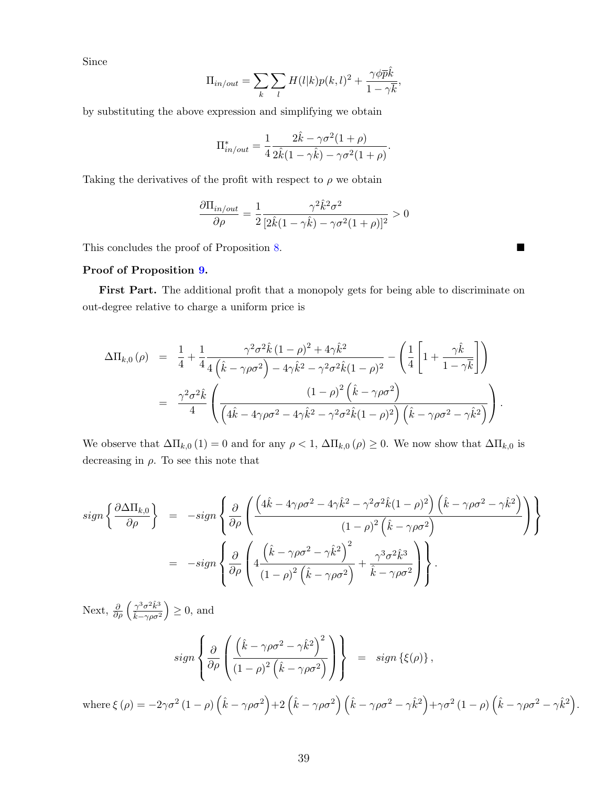Since

$$
\Pi_{in/out} = \sum_{k} \sum_{l} H(l|k) p(k,l)^2 + \frac{\gamma \phi \bar{p}\hat{k}}{1 - \gamma \bar{k}},
$$

by substituting the above expression and simplifying we obtain

$$
\Pi_{in/out}^* = \frac{1}{4} \frac{2\hat{k} - \gamma \sigma^2 (1+\rho)}{2\hat{k} (1-\gamma \hat{k}) - \gamma \sigma^2 (1+\rho)}.
$$

Taking the derivatives of the profit with respect to  $\rho$  we obtain

$$
\frac{\partial \Pi_{in/out}}{\partial \rho} = \frac{1}{2} \frac{\gamma^2 \hat{k}^2 \sigma^2}{[2\hat{k}(1-\gamma \hat{k}) - \gamma \sigma^2 (1+\rho)]^2} > 0
$$

This concludes the proof of Proposition [8.](#page-19-2)

#### Proof of Proposition [9.](#page-19-1)

First Part. The additional profit that a monopoly gets for being able to discriminate on out-degree relative to charge a uniform price is

$$
\Delta\Pi_{k,0}(\rho) = \frac{1}{4} + \frac{1}{4} \frac{\gamma^2 \sigma^2 \hat{k} (1-\rho)^2 + 4\gamma \hat{k}^2}{4(\hat{k} - \gamma \rho \sigma^2) - 4\gamma \hat{k}^2 - \gamma^2 \sigma^2 \hat{k} (1-\rho)^2} - \left(\frac{1}{4} \left[1 + \frac{\gamma \hat{k}}{1 - \gamma \bar{k}}\right]\right)
$$
  

$$
= \frac{\gamma^2 \sigma^2 \hat{k}}{4} \left(\frac{(1-\rho)^2 (\hat{k} - \gamma \rho \sigma^2)}{(4\hat{k} - 4\gamma \rho \sigma^2 - 4\gamma \hat{k}^2 - \gamma^2 \sigma^2 \hat{k} (1-\rho)^2)(\hat{k} - \gamma \rho \sigma^2 - \gamma \hat{k}^2)}\right).
$$

We observe that  $\Delta\Pi_{k,0}(1) = 0$  and for any  $\rho < 1$ ,  $\Delta\Pi_{k,0}(\rho) \geq 0$ . We now show that  $\Delta\Pi_{k,0}$  is decreasing in  $\rho$ . To see this note that

$$
sign\left\{\frac{\partial\Delta\Pi_{k,0}}{\partial\rho}\right\} = -sign\left\{\frac{\partial}{\partial\rho}\left(\frac{(4\hat{k}-4\gamma\rho\sigma^2-4\gamma\hat{k}^2-\gamma^2\sigma^2\hat{k}(1-\rho)^2)(\hat{k}-\gamma\rho\sigma^2-\gamma\hat{k}^2)}{(1-\rho)^2(\hat{k}-\gamma\rho\sigma^2)}\right)\right\}
$$
  

$$
= -sign\left\{\frac{\partial}{\partial\rho}\left(4\frac{(\hat{k}-\gamma\rho\sigma^2-\gamma\hat{k}^2)^2}{(1-\rho)^2(\hat{k}-\gamma\rho\sigma^2)}+\frac{\gamma^3\sigma^2\hat{k}^3}{\hat{k}-\gamma\rho\sigma^2}\right)\right\}.
$$

Next,  $\frac{\partial}{\partial \rho} \left( \frac{\gamma^3 \sigma^2 \hat{k}^3}{\hat{k} - \gamma \rho \sigma^2} \right)$  $\sqrt{\hat{k}-\gamma\rho\sigma^2}$  $\geq 0$ , and

$$
sign\left\{\frac{\partial}{\partial \rho}\left(\frac{\left(\hat{k}-\gamma\rho\sigma^2-\gamma\hat{k}^2\right)^2}{\left(1-\rho\right)^2\left(\hat{k}-\gamma\rho\sigma^2\right)}\right)\right\} = sign\left\{\xi(\rho)\right\},\right\}
$$

where  $\xi(\rho) = -2\gamma\sigma^2(1-\rho)\left(\hat{k}-\gamma\rho\sigma^2\right)+2\left(\hat{k}-\gamma\rho\sigma^2\right)\left(\hat{k}-\gamma\rho\sigma^2-\gamma\hat{k}^2\right)+\gamma\sigma^2(1-\rho)\left(\hat{k}-\gamma\rho\sigma^2-\gamma\hat{k}^2\right).$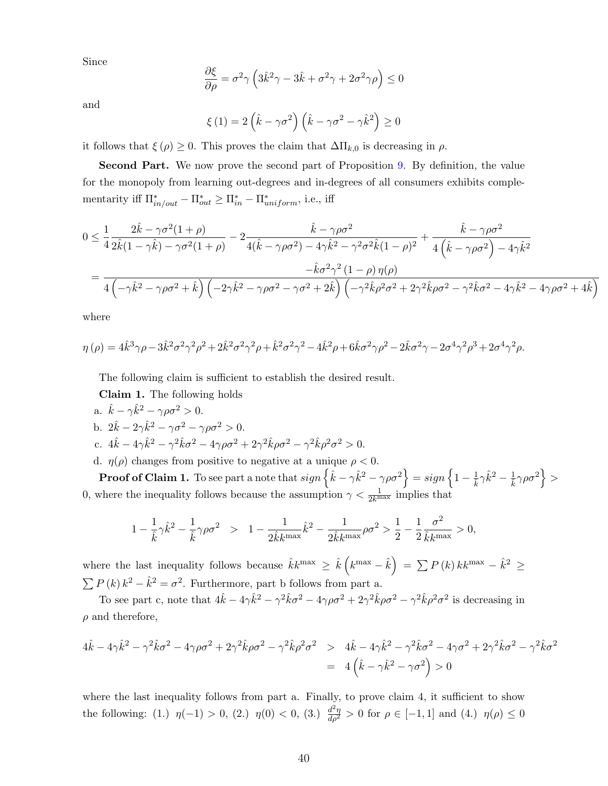Since

$$
\frac{\partial \xi}{\partial \rho} = \sigma^2 \gamma \left( 3\hat{k}^2 \gamma - 3\hat{k} + \sigma^2 \gamma + 2\sigma^2 \gamma \rho \right) \le 0
$$

and

$$
\xi(1) = 2\left(\hat{k} - \gamma\sigma^2\right)\left(\hat{k} - \gamma\sigma^2 - \gamma\hat{k}^2\right) \ge 0
$$

it follows that  $\xi(\rho) \geq 0$ . This proves the claim that  $\Delta \Pi_{k,0}$  is decreasing in  $\rho$ .

Second Part. We now prove the second part of Proposition [9.](#page-19-1) By definition, the value for the monopoly from learning out-degrees and in-degrees of all consumers exhibits complementarity iff  $\Pi^*_{in/out} - \Pi^*_{out} \geq \Pi^*_{in} - \Pi^*_{uniform}$ , i.e., iff

$$
0 \leq \frac{1}{4} \frac{2\hat{k} - \gamma \sigma^2 (1+\rho)}{2\hat{k}(1-\gamma\hat{k}) - \gamma \sigma^2 (1+\rho)} - 2 \frac{\hat{k} - \gamma \rho \sigma^2}{4(\hat{k} - \gamma \rho \sigma^2) - 4\gamma\hat{k}^2 - \gamma^2 \sigma^2 \hat{k}(1-\rho)^2} + \frac{\hat{k} - \gamma \rho \sigma^2}{4(\hat{k} - \gamma \rho \sigma^2) - 4\gamma\hat{k}^2}
$$
  
= 
$$
\frac{-\hat{k}\sigma^2 \gamma^2 (1-\rho) \eta(\rho)}{4(\gamma\hat{k}^2 - \gamma \rho \sigma^2 + \hat{k}) ((-2\gamma\hat{k}^2 - \gamma \rho \sigma^2 - \gamma \sigma^2 + 2\hat{k}) ((-\gamma^2\hat{k}\rho^2 \sigma^2 + 2\gamma^2\hat{k}\rho \sigma^2 - \gamma^2\hat{k}\sigma^2 - 4\gamma\hat{k}^2 - 4\gamma\rho \sigma^2 + 4\hat{k})}
$$

where

$$
\eta(\rho) = 4\hat{k}^3 \gamma \rho - 3\hat{k}^2 \sigma^2 \gamma^2 \rho^2 + 2\hat{k}^2 \sigma^2 \gamma^2 \rho + \hat{k}^2 \sigma^2 \gamma^2 - 4\hat{k}^2 \rho + 6\hat{k} \sigma^2 \gamma \rho^2 - 2\hat{k} \sigma^2 \gamma - 2\sigma^4 \gamma^2 \rho^3 + 2\sigma^4 \gamma^2 \rho.
$$

The following claim is sufficient to establish the desired result.

Claim 1. The following holds

a.  $\hat{k} - \gamma \hat{k}^2 - \gamma \rho \sigma^2 > 0$ .

b. 
$$
2\hat{k} - 2\gamma \hat{k}^2 - \gamma \sigma^2 - \gamma \rho \sigma^2 > 0.
$$

c. 
$$
4\hat{k} - 4\gamma \hat{k}^2 - \gamma^2 \hat{k} \sigma^2 - 4\gamma \rho \sigma^2 + 2\gamma^2 \hat{k} \rho \sigma^2 - \gamma^2 \hat{k} \rho^2 \sigma^2 > 0.
$$

d.  $\eta(\rho)$  changes from positive to negative at a unique  $\rho < 0$ .

 $\textbf{Proof of Claim 1. To see part a note that}\ sign\left\{ \hat{k}-\gamma\hat{k}^{2}-\gamma\rho\sigma^{2}\right\} = sign\left\{ 1-\frac{1}{\hat{k}}\gamma\hat{k}^{2}-\frac{1}{\hat{k}}\gamma\rho\sigma^{2}\right\} >0.$ 0, where the inequality follows because the assumption  $\gamma < \frac{1}{2k^{\max}}$  implies that

$$
1 - \frac{1}{\hat{k}} \gamma \hat{k}^2 - \frac{1}{\hat{k}} \gamma \rho \sigma^2 > 1 - \frac{1}{2 \hat{k} k^{\max}} \hat{k}^2 - \frac{1}{2 \hat{k} k^{\max}} \rho \sigma^2 > \frac{1}{2} - \frac{1}{2} \frac{\sigma^2}{\hat{k} k^{\max}} > 0,
$$

where the last inequality follows because  $\hat{k}k^{\max} \geq \hat{k}(k^{\max}-\hat{k}) = \sum P(k)kk^{\max}-\hat{k}^{2} \geq$  $\sum P(k) k^2 - \hat{k}^2 = \sigma^2$ . Furthermore, part b follows from part a.

To see part c, note that  $4\hat{k} - 4\gamma \hat{k}^2 - \gamma^2 \hat{k} \sigma^2 - 4\gamma \rho \sigma^2 + 2\gamma^2 \hat{k} \rho \sigma^2 - \gamma^2 \hat{k} \rho^2 \sigma^2$  is decreasing in  $\rho$  and therefore,

$$
4\hat{k} - 4\gamma \hat{k}^2 - \gamma^2 \hat{k} \sigma^2 - 4\gamma \rho \sigma^2 + 2\gamma^2 \hat{k} \rho \sigma^2 - \gamma^2 \hat{k} \rho^2 \sigma^2 > 4\hat{k} - 4\gamma \hat{k}^2 - \gamma^2 \hat{k} \sigma^2 - 4\gamma \sigma^2 + 2\gamma^2 \hat{k} \sigma^2 - \gamma^2 \hat{k} \sigma^2 = 4(\hat{k} - \gamma \hat{k}^2 - \gamma \sigma^2) > 0
$$

where the last inequality follows from part a. Finally, to prove claim 4, it sufficient to show the following: (1.)  $\eta(-1) > 0$ , (2.)  $\eta(0) < 0$ , (3.)  $\frac{d^2\eta}{d\rho^2} > 0$  for  $\rho \in [-1,1]$  and (4.)  $\eta(\rho) \le 0$